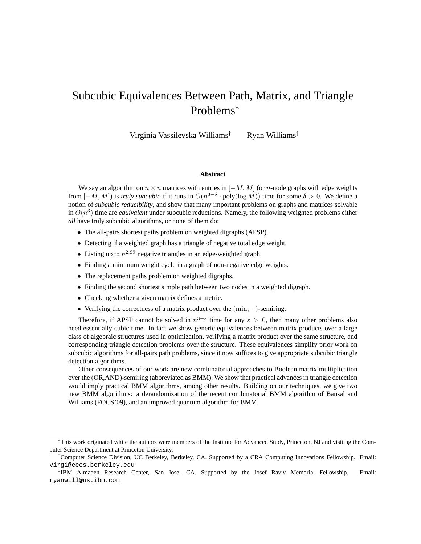# Subcubic Equivalences Between Path, Matrix, and Triangle Problems<sup>∗</sup>

Virginia Vassilevska Williams† Ryan Williams‡

#### **Abstract**

We say an algorithm on  $n \times n$  matrices with entries in  $[-M, M]$  (or n-node graphs with edge weights from  $[-M, M]$ ) is *truly subcubic* if it runs in  $O(n^{3-\delta} \cdot \text{poly}(\log M))$  time for some  $\delta > 0$ . We define a notion of *subcubic reducibility*, and show that many important problems on graphs and matrices solvable in  $O(n^3)$  time are *equivalent* under subcubic reductions. Namely, the following weighted problems either *all* have truly subcubic algorithms, or none of them do:

- The all-pairs shortest paths problem on weighted digraphs (APSP).
- Detecting if a weighted graph has a triangle of negative total edge weight.
- Listing up to  $n^{2.99}$  negative triangles in an edge-weighted graph.
- Finding a minimum weight cycle in a graph of non-negative edge weights.
- The replacement paths problem on weighted digraphs.
- Finding the second shortest simple path between two nodes in a weighted digraph.
- Checking whether a given matrix defines a metric.
- Verifying the correctness of a matrix product over the  $(min, +)$ -semiring.

Therefore, if APSP cannot be solved in  $n^{3-\epsilon}$  time for any  $\epsilon > 0$ , then many other problems also need essentially cubic time. In fact we show generic equivalences between matrix products over a large class of algebraic structures used in optimization, verifying a matrix product over the same structure, and corresponding triangle detection problems over the structure. These equivalences simplify prior work on subcubic algorithms for all-pairs path problems, since it now suffices to give appropriate subcubic triangle detection algorithms.

Other consequences of our work are new combinatorial approaches to Boolean matrix multiplication over the (OR,AND)-semiring (abbreviated as BMM). We show that practical advances in triangle detection would imply practical BMM algorithms, among other results. Building on our techniques, we give two new BMM algorithms: a derandomization of the recent combinatorial BMM algorithm of Bansal and Williams (FOCS'09), and an improved quantum algorithm for BMM.

<sup>∗</sup>This work originated while the authors were members of the Institute for Advanced Study, Princeton, NJ and visiting the Computer Science Department at Princeton University.

<sup>†</sup>Computer Science Division, UC Berkeley, Berkeley, CA. Supported by a CRA Computing Innovations Fellowship. Email: virgi@eecs.berkeley.edu

<sup>‡</sup> IBM Almaden Research Center, San Jose, CA. Supported by the Josef Raviv Memorial Fellowship. Email: ryanwill@us.ibm.com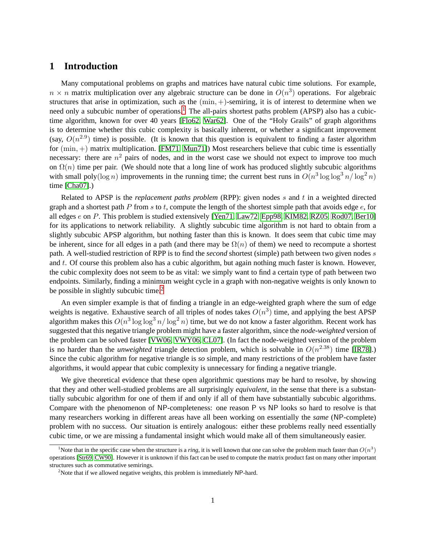### **1 Introduction**

Many computational problems on graphs and matrices have natural cubic time solutions. For example,  $n \times n$  matrix multiplication over any algebraic structure can be done in  $O(n^3)$  operations. For algebraic structures that arise in optimization, such as the  $(min, +)$ -semiring, it is of interest to determine when we need only a subcubic number of operations.<sup>[1](#page-1-0)</sup> The all-pairs shortest paths problem (APSP) also has a cubictime algorithm, known for over 40 years [\[Flo62,](#page-11-0) [War62\]](#page-13-0). One of the "Holy Grails" of graph algorithms is to determine whether this cubic complexity is basically inherent, or whether a significant improvement (say,  $O(n^{2.9})$  time) is possible. (It is known that this question is equivalent to finding a faster algorithm for  $(min, +)$  matrix multiplication. [\[FM71,](#page-11-1) [Mun71\]](#page-12-0)) Most researchers believe that cubic time is essentially necessary: there are  $n^2$  pairs of nodes, and in the worst case we should not expect to improve too much on  $\Omega(n)$  time per pair. (We should note that a long line of work has produced slightly subcubic algorithms with small poly( $\log n$ ) improvements in the running time; the current best runs in  $O(n^3 \log \log^3 n / \log^2 n)$ time [\[Cha07\]](#page-11-2).)

Related to APSP is the *replacement paths problem* (RPP): given nodes s and t in a weighted directed graph and a shortest path P from s to t, compute the length of the shortest simple path that avoids edge  $e$ , for all edges e on P. This problem is studied extensively [\[Yen71,](#page-13-1) [Law72,](#page-12-1) [Epp98,](#page-11-3) [KIM82,](#page-12-2) [RZ05,](#page-12-3) [Rod07,](#page-12-4) [Ber10\]](#page-11-4) for its applications to network reliability. A slightly subcubic time algorithm is not hard to obtain from a slightly subcubic APSP algorithm, but nothing faster than this is known. It does seem that cubic time may be inherent, since for all edges in a path (and there may be  $\Omega(n)$  of them) we need to recompute a shortest path. A well-studied restriction of RPP is to find the *second* shortest (simple) path between two given nodes s and t. Of course this problem also has a cubic algorithm, but again nothing much faster is known. However, the cubic complexity does not seem to be as vital: we simply want to find a certain type of path between two endpoints. Similarly, finding a minimum weight cycle in a graph with non-negative weights is only known to be possible in slightly subcubic time.<sup>[2](#page-1-1)</sup>

An even simpler example is that of finding a triangle in an edge-weighted graph where the sum of edge weights is negative. Exhaustive search of all triples of nodes takes  $O(n^3)$  time, and applying the best APSP algorithm makes this  $O(n^3 \log \log^3 n / \log^2 n)$  time, but we do not know a faster algorithm. Recent work has suggested that this negative triangle problem might have a faster algorithm, since the *node-weighted* version of the problem can be solved faster [\[VW06,](#page-13-2) [VWY06,](#page-13-3) [CL07\]](#page-11-5). (In fact the node-weighted version of the problem is no harder than the *unweighted* triangle detection problem, which is solvable in  $O(n^{2.38})$  time [\[IR78\]](#page-12-5).) Since the cubic algorithm for negative triangle is *so* simple, and many restrictions of the problem have faster algorithms, it would appear that cubic complexity is unnecessary for finding a negative triangle.

We give theoretical evidence that these open algorithmic questions may be hard to resolve, by showing that they and other well-studied problems are all surprisingly *equivalent*, in the sense that there is a substantially subcubic algorithm for one of them if and only if all of them have substantially subcubic algorithms. Compare with the phenomenon of NP-completeness: one reason P vs NP looks so hard to resolve is that many researchers working in different areas have all been working on essentially the *same* (NP-complete) problem with no success. Our situation is entirely analogous: either these problems really need essentially cubic time, or we are missing a fundamental insight which would make all of them simultaneously easier.

<span id="page-1-0"></span><sup>&</sup>lt;sup>1</sup>Note that in the specific case when the structure is a *ring*, it is well known that one can solve the problem much faster than  $O(n^3)$ operations [\[Str69,](#page-12-6) [CW90\]](#page-11-6). However it is unknown if this fact can be used to compute the matrix product fast on many other important structures such as commutative semirings.

<span id="page-1-1"></span><sup>&</sup>lt;sup>2</sup>Note that if we allowed negative weights, this problem is immediately NP-hard.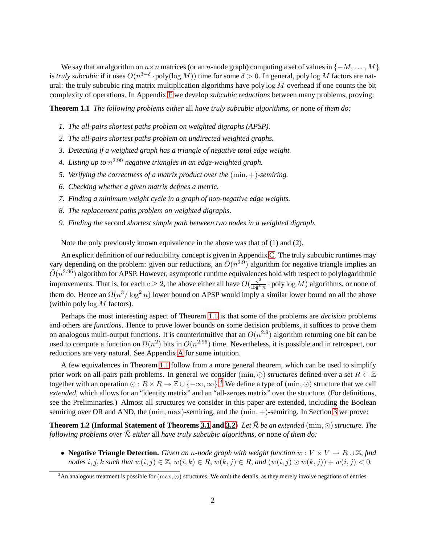We say that an algorithm on  $n \times n$  matrices (or an n-node graph) computing a set of values in  $\{-M, \ldots, M\}$ is *truly subcubic* if it uses  $O(n^{3-\delta}\cdot \text{poly}(\log M))$  time for some  $\delta > 0$ . In general, poly  $\log M$  factors are natural: the truly subcubic ring matrix multiplication algorithms have poly  $\log M$  overhead if one counts the bit complexity of operations. In Appendix [F](#page-20-0) we develop *subcubic reductions* between many problems, proving:

**Theorem 1.1** *The following problems either* all *have truly subcubic algorithms, or* none *of them do:*

- *1. The all-pairs shortest paths problem on weighted digraphs (APSP).*
- *2. The all-pairs shortest paths problem on undirected weighted graphs.*
- *3. Detecting if a weighted graph has a triangle of negative total edge weight.*
- *4. Listing up to* n <sup>2</sup>.<sup>99</sup> *negative triangles in an edge-weighted graph.*
- *5. Verifying the correctness of a matrix product over the* (min, +)*-semiring.*
- *6. Checking whether a given matrix defines a metric.*
- *7. Finding a minimum weight cycle in a graph of non-negative edge weights.*
- <span id="page-2-0"></span>*8. The replacement paths problem on weighted digraphs.*
- *9. Finding the* second *shortest simple path between two nodes in a weighted digraph.*

Note the only previously known equivalence in the above was that of (1) and (2).

An explicit definition of our reducibility concept is given in Appendix [C.](#page-15-0) The truly subcubic runtimes may vary depending on the problem: given our reductions, an  $\tilde{O}(n^{2.9})$  algorithm for negative triangle implies an  $\tilde{O}(n^{2.96})$  algorithm for APSP. However, asymptotic runtime equivalences hold with respect to polylogarithmic improvements. That is, for each  $c \ge 2$ , the above either all have  $O(\frac{n^3}{\log^c n} \cdot \text{poly}\log M)$  algorithms, or none of them do. Hence an  $\Omega(n^3/\log^2 n)$  lower bound on APSP would imply a similar lower bound on all the above (within poly  $\log M$  factors).

Perhaps the most interesting aspect of Theorem [1.1](#page-2-0) is that some of the problems are *decision* problems and others are *functions*. Hence to prove lower bounds on some decision problems, it suffices to prove them on analogous multi-output functions. It is counterintuitive that an  $O(n^{2.9})$  algorithm returning one bit can be used to compute a function on  $\Omega(n^2)$  bits in  $O(n^{2.96})$  time. Nevertheless, it is possible and in retrospect, our reductions are very natural. See Appendix [A](#page-13-4) for some intuition.

A few equivalences in Theorem [1.1](#page-2-0) follow from a more general theorem, which can be used to simplify prior work on all-pairs path problems. In general we consider (min,  $\odot$ ) *structures* defined over a set  $R \subset \mathbb{Z}$ together with an operation  $\odot: R \times R \to \mathbb{Z} \cup \{-\infty, \infty\}$ .<sup>[3](#page-2-1)</sup> We define a type of  $(\min, \odot)$  structure that we call *extended*, which allows for an "identity matrix" and an "all-zeroes matrix" over the structure. (For definitions, see the Preliminaries.) Almost all structures we consider in this paper are extended, including the Boolean semiring over OR and AND, the (min, max)-semiring, and the (min, +)-semiring. In Section [3](#page-5-0) we prove:

<span id="page-2-2"></span>**Theorem 1.2 (Informal Statement of Theorems [3.1](#page-5-1) and [3.2\)](#page-6-0)** Let  $\bar{\mathcal{R}}$  be an extended (min,  $\odot$ ) structure. The *following problems over*  $\overline{R}$  *either* all *have truly subcubic algorithms, or* none *of them do:* 

• **Negative Triangle Detection.** *Given an* <sup>n</sup>*-node graph with weight function* <sup>w</sup> : <sup>V</sup> <sup>×</sup> <sup>V</sup> <sup>→</sup> <sup>R</sup> <sup>∪</sup> <sup>Z</sup>*, find nodes* i, j, k such that  $w(i, j) \in \mathbb{Z}$ ,  $w(i, k) \in R$ ,  $w(k, j) \in R$ , and  $(w(i, j) \odot w(k, j)) + w(i, j) < 0$ .

<span id="page-2-1"></span> $3$ An analogous treatment is possible for  $(max, \odot)$  structures. We omit the details, as they merely involve negations of entries.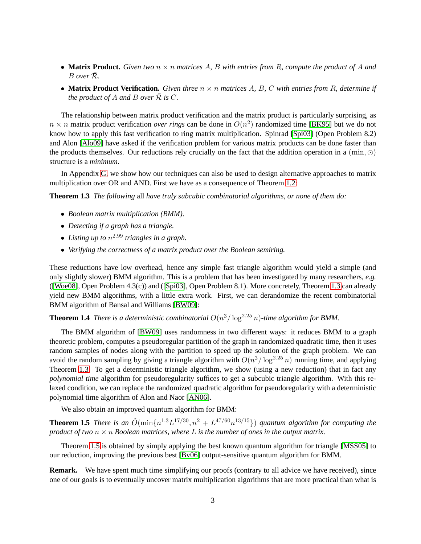- **Matrix Product.** Given two  $n \times n$  matrices A, B with entries from R, compute the product of A and  $B$  over  $\bar{\mathcal{R}}$ *.*
- **Matrix Product Verification.** *Given three* n × n *matrices* A*,* B*,* C *with entries from* R*, determine if the product of A and B over*  $\overline{R}$  *is*  $C$ *.*

The relationship between matrix product verification and the matrix product is particularly surprising, as  $n \times n$  matrix product verification *over rings* can be done in  $O(n^2)$  randomized time [\[BK95\]](#page-11-7) but we do not know how to apply this fast verification to ring matrix multiplication. Spinrad [\[Spi03\]](#page-12-7) (Open Problem 8.2) and Alon [\[Alo09\]](#page-10-0) have asked if the verification problem for various matrix products can be done faster than the products themselves. Our reductions rely crucially on the fact that the addition operation in a  $(\min, \odot)$ structure is a *minimum*.

In Appendix [G,](#page-23-0) we show how our techniques can also be used to design alternative approaches to matrix multiplication over OR and AND. First we have as a consequence of Theorem [1.2:](#page-2-2)

**Theorem 1.3** *The following* all *have truly subcubic combinatorial algorithms, or none of them do:*

- <span id="page-3-0"></span>• *Boolean matrix multiplication (BMM).*
- *Detecting if a graph has a triangle.*
- *Listing up to* n <sup>2</sup>.<sup>99</sup> *triangles in a graph.*
- *Verifying the correctness of a matrix product over the Boolean semiring.*

These reductions have low overhead, hence any simple fast triangle algorithm would yield a simple (and only slightly slower) BMM algorithm. This is a problem that has been investigated by many researchers, *e.g.* ([\[Woe08\]](#page-13-5), Open Problem 4.3(c)) and ([\[Spi03\]](#page-12-7), Open Problem 8.1). More concretely, Theorem [1.3](#page-3-0) can already yield new BMM algorithms, with a little extra work. First, we can derandomize the recent combinatorial BMM algorithm of Bansal and Williams [\[BW09\]](#page-11-8):

<span id="page-3-2"></span>**Theorem 1.4** *There is a deterministic combinatorial*  $O(n^3/\log^{2.25} n)$ -time algorithm for BMM.

The BMM algorithm of [\[BW09\]](#page-11-8) uses randomness in two different ways: it reduces BMM to a graph theoretic problem, computes a pseudoregular partition of the graph in randomized quadratic time, then it uses random samples of nodes along with the partition to speed up the solution of the graph problem. We can avoid the random sampling by giving a triangle algorithm with  $O(n^3/\log^{2.25} n)$  running time, and applying Theorem [1.3.](#page-3-0) To get a deterministic triangle algorithm, we show (using a new reduction) that in fact any *polynomial time* algorithm for pseudoregularity suffices to get a subcubic triangle algorithm. With this relaxed condition, we can replace the randomized quadratic algorithm for pseudoregularity with a deterministic polynomial time algorithm of Alon and Naor [\[AN06\]](#page-10-1).

<span id="page-3-1"></span>We also obtain an improved quantum algorithm for BMM:

**Theorem 1.5** *There is an*  $\tilde{O}(\min\{n^{1.3}L^{17/30}, n^2 + L^{47/60}n^{13/15}\})$  *quantum algorithm for computing the product of two*  $n \times n$  *Boolean matrices, where* L *is the number of ones in the output matrix.* 

Theorem [1.5](#page-3-1) is obtained by simply applying the best known quantum algorithm for triangle [\[MSS05\]](#page-12-8) to our reduction, improving the previous best [\[Bv06\]](#page-11-9) output-sensitive quantum algorithm for BMM.

**Remark.** We have spent much time simplifying our proofs (contrary to all advice we have received), since one of our goals is to eventually uncover matrix multiplication algorithms that are more practical than what is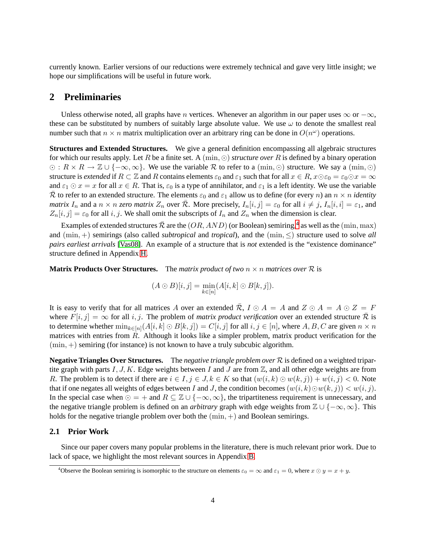currently known. Earlier versions of our reductions were extremely technical and gave very little insight; we hope our simplifications will be useful in future work.

### **2 Preliminaries**

Unless otherwise noted, all graphs have *n* vertices. Whenever an algorithm in our paper uses  $\infty$  or  $-\infty$ , these can be substituted by numbers of suitably large absolute value. We use  $\omega$  to denote the smallest real number such that  $n \times n$  matrix multiplication over an arbitrary ring can be done in  $O(n^{\omega})$  operations.

**Structures and Extended Structures.** We give a general definition encompassing all algebraic structures for which our results apply. Let R be a finite set. A (min, ⊙) *structure over* R is defined by a binary operation  $\odot$ :  $R \times R \rightarrow \mathbb{Z} \cup \{-\infty, \infty\}$ . We use the variable R to refer to a (min,  $\odot$ ) structure. We say a (min,  $\odot$ ) structure is *extended* if  $R \subset \mathbb{Z}$  and R contains elements  $\varepsilon_0$  and  $\varepsilon_1$  such that for all  $x \in R$ ,  $x \odot \varepsilon_0 = \varepsilon_0 \odot x = \infty$ and  $\varepsilon_1 \odot x = x$  for all  $x \in R$ . That is,  $\varepsilon_0$  is a type of annihilator, and  $\varepsilon_1$  is a left identity. We use the variable  $\overline{\mathcal{R}}$  to refer to an extended structure. The elements  $\varepsilon_0$  and  $\varepsilon_1$  allow us to define (for every *n*) an  $n \times n$  *identity matrix*  $I_n$  and a  $n \times n$  *zero matrix*  $Z_n$  over  $\overline{\mathcal{R}}$ . More precisely,  $I_n[i, j] = \varepsilon_0$  for all  $i \neq j$ ,  $I_n[i, i] = \varepsilon_1$ , and  $Z_n[i, j] = \varepsilon_0$  for all i, j. We shall omit the subscripts of  $I_n$  and  $Z_n$  when the dimension is clear.

Examples of extended structures  $\bar{\mathcal{R}}$  are the  $(OR, AND)$  (or Boolean) semiring,<sup>[4](#page-4-0)</sup> as well as the  $(\min, \max)$ and (min, +) semirings (also called *subtropical* and *tropical*), and the (min, ≤) structure used to solve *all pairs earliest arrivals* [\[Vas08\]](#page-12-9). An example of a structure that is *not* extended is the "existence dominance" structure defined in Appendix [H.](#page-28-0)

**Matrix Products Over Structures.** The *matrix product of two*  $n \times n$  *matrices over*  $\mathcal{R}$  is

$$
(A \odot B)[i, j] = \min_{k \in [n]} (A[i, k] \odot B[k, j]).
$$

It is easy to verify that for all matrices A over an extended  $\overline{R}$ ,  $I \odot A = A$  and  $Z \odot A = A \odot Z = F$ where  $F[i, j] = \infty$  for all i, j. The problem of *matrix product verification* over an extended structure  $\overline{R}$  is to determine whether  $\min_{k \in [n]} (A[i, k] \odot B[k, j]) = C[i, j]$  for all  $i, j \in [n]$ , where  $A, B, C$  are given  $n \times n$ matrices with entries from  $R$ . Although it looks like a simpler problem, matrix product verification for the  $(\min, +)$  semiring (for instance) is not known to have a truly subcubic algorithm.

**Negative Triangles Over Structures.** The *negative triangle problem over* R is defined on a weighted tripartite graph with parts I, J, K. Edge weights between I and J are from  $\mathbb Z$ , and all other edge weights are from R. The problem is to detect if there are  $i \in I$ ,  $j \in J$ ,  $k \in K$  so that  $(w(i, k) \odot w(k, j)) + w(i, j) < 0$ . Note that if one negates all weights of edges between I and J, the condition becomes  $(w(i, k) \odot w(k, j)) < w(i, j)$ . In the special case when  $\odot = +$  and  $R \subseteq \mathbb{Z} \cup \{-\infty, \infty\}$ , the tripartiteness requirement is unnecessary, and the negative triangle problem is defined on an *arbitrary* graph with edge weights from <sup>Z</sup> ∪ {−∞, ∞}. This holds for the negative triangle problem over both the  $(\min, +)$  and Boolean semirings.

#### **2.1 Prior Work**

Since our paper covers many popular problems in the literature, there is much relevant prior work. Due to lack of space, we highlight the most relevant sources in Appendix [B.](#page-14-0)

<span id="page-4-0"></span><sup>&</sup>lt;sup>4</sup>Observe the Boolean semiring is isomorphic to the structure on elements  $\varepsilon_0 = \infty$  and  $\varepsilon_1 = 0$ , where  $x \odot y = x + y$ .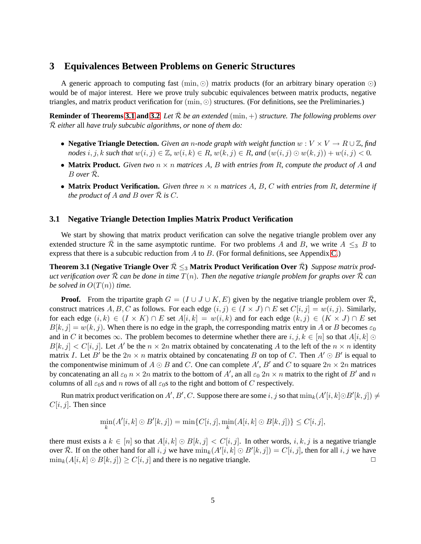### <span id="page-5-0"></span>**3 Equivalences Between Problems on Generic Structures**

A generic approach to computing fast  $(\min, \odot)$  matrix products (for an arbitrary binary operation  $\odot$ ) would be of major interest. Here we prove truly subcubic equivalences between matrix products, negative triangles, and matrix product verification for (min, ⊙) structures. (For definitions, see the Preliminaries.)

**Reminder of Theorems [3.1](#page-5-1) and [3.2](#page-6-0)** *Let*  $\bar{\mathcal{R}}$  *be an extended* (min, +) *structure. The following problems over*  $\overline{\mathcal{R}}$  *either* all *have truly subcubic algorithms, or* none *of them do:* 

- **Negative Triangle Detection.** *Given an* <sup>n</sup>*-node graph with weight function* <sup>w</sup> : <sup>V</sup> <sup>×</sup> <sup>V</sup> <sup>→</sup> <sup>R</sup> <sup>∪</sup> <sup>Z</sup>*, find nodes* i, j, k such that  $w(i, j) \in \mathbb{Z}$ ,  $w(i, k) \in R$ ,  $w(k, j) \in R$ , and  $(w(i, j) \odot w(k, j)) + w(i, j) < 0$ .
- **Matrix Product.** *Given two* n × n *matrices* A*,* B *with entries from* R*, compute the product of* A *and* <sup>B</sup> *over* <sup>R</sup>¯*.*
- **Matrix Product Verification.** *Given three* n × n *matrices* A*,* B*,* C *with entries from* R*, determine if the product of A and B over*  $\mathcal R$  *is*  $C$ *.*

#### **3.1 Negative Triangle Detection Implies Matrix Product Verification**

We start by showing that matrix product verification can solve the negative triangle problem over any extended structure R in the same asymptotic runtime. For two problems A and B, we write  $A \leq_{3} B$  to express that there is a subcubic reduction from  $A$  to  $B$ . (For formal definitions, see Appendix [C.](#page-15-0))

<span id="page-5-1"></span>**Theorem 3.1 (Negative Triangle Over**  $\bar{\mathcal{R}} \leq_3$  **Matrix Product Verification Over**  $\bar{\mathcal{R}}$ ) *Suppose matrix product verification over* R *can be done in time*  $T(n)$ *. Then the negative triangle problem for graphs over* R *can be solved in*  $O(T(n))$  *time.* 

**Proof.** From the tripartite graph  $G = (I \cup J \cup K, E)$  given by the negative triangle problem over  $\overline{\mathcal{R}}$ , construct matrices A, B, C as follows. For each edge  $(i, j) \in (I \times J) \cap E$  set  $C[i, j] = w(i, j)$ . Similarly, for each edge  $(i, k) \in (I \times K) \cap E$  set  $A[i, k] = w(i, k)$  and for each edge  $(k, j) \in (K \times J) \cap E$  set  $B[k, j] = w(k, j)$ . When there is no edge in the graph, the corresponding matrix entry in A or B becomes  $\varepsilon_0$ and in C it becomes  $\infty$ . The problem becomes to determine whether there are  $i, j, k \in [n]$  so that  $A[i, k]$  ⊙  $B[k, j] < C[i, j]$ . Let A' be the  $n \times 2n$  matrix obtained by concatenating A to the left of the  $n \times n$  identity matrix I. Let B' be the  $2n \times n$  matrix obtained by concatenating B on top of C. Then  $A' \odot B'$  is equal to the componentwise minimum of  $A \odot B$  and C. One can complete A', B' and C to square  $2n \times 2n$  matrices by concatenating an all  $\varepsilon_0$   $n \times 2n$  matrix to the bottom of  $A'$ , an all  $\varepsilon_0$   $2n \times n$  matrix to the right of  $B'$  and  $n$ columns of all  $\varepsilon_0$ s and n rows of all  $\varepsilon_0$ s to the right and bottom of C respectively.

Run matrix product verification on  $A', B', C$ . Suppose there are some  $i, j$  so that  $\min_k(A'[i, k] \odot B'[k, j]) \neq 0$  $C[i, j]$ . Then since

$$
\min_{k} (A'[i,k] \odot B'[k,j]) = \min \{C[i,j], \min_{k} (A[i,k] \odot B[k,j])\} \le C[i,j],
$$

there must exists a  $k \in [n]$  so that  $A[i, k] \odot B[k, j] < C[i, j]$ . In other words,  $i, k, j$  is a negative triangle over  $\overline{\mathcal{R}}$ . If on the other hand for all  $i, j$  we have  $\min_k(A'[i,k] \odot B'[k,j]) = C[i,j]$ , then for all  $i, j$  we have  $\min_k(A[i, k] \odot B[k, j]) \geq C[i, j]$  and there is no negative triangle.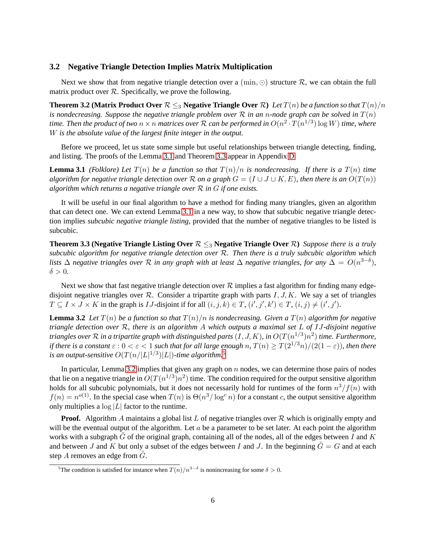#### **3.2 Negative Triangle Detection Implies Matrix Multiplication**

<span id="page-6-0"></span>Next we show that from negative triangle detection over a (min,  $\odot$ ) structure  $\mathcal{R}$ , we can obtain the full matrix product over  $R$ . Specifically, we prove the following.

**Theorem 3.2 (Matrix Product Over**  $\mathcal{R} \leq_3$  **Negative Triangle Over**  $\mathcal{R}$ ) *Let*  $T(n)$  *be a function so that*  $T(n)/n$ *is nondecreasing. Suppose the negative triangle problem over* R *in an* n*-node graph can be solved in* T(n) time. Then the product of two  $n \times n$  matrices over  ${\cal R}$  can be performed in  $O(n^2 \cdot T(n^{1/3}) \log W)$  time, where W *is the absolute value of the largest finite integer in the output.*

<span id="page-6-1"></span>Before we proceed, let us state some simple but useful relationships between triangle detecting, finding, and listing. The proofs of the Lemma [3.1](#page-6-1) and Theorem [3.3](#page-6-2) appear in Appendix [D.](#page-18-0)

**Lemma 3.1** *(Folklore)* Let  $T(n)$  be a function so that  $T(n)/n$  is nondecreasing. If there is a  $T(n)$  time *algorithm for negative triangle detection over* R *on a graph*  $G = (I \cup J \cup K, E)$ , then there is an  $O(T(n))$ *algorithm which returns a negative triangle over* R *in* G *if one exists.*

It will be useful in our final algorithm to have a method for finding many triangles, given an algorithm that can detect one. We can extend Lemma [3.1](#page-6-1) in a new way, to show that subcubic negative triangle detection implies *subcubic negative triangle listing*, provided that the number of negative triangles to be listed is subcubic.

<span id="page-6-2"></span>**Theorem 3.3 (Negative Triangle Listing Over**  $\mathcal{R} \leq_3$  **Negative Triangle Over**  $\mathcal{R}$ ) *Suppose there is a truly subcubic algorithm for negative triangle detection over* R*. Then there is a truly subcubic algorithm which lists*  $\Delta$  *negative triangles over*  $\mathcal R$  *in any graph with at least*  $\Delta$  *negative triangles, for any*  $\Delta = O(n^{3-\delta})$ *,*  $\delta > 0$ .

Next we show that fast negative triangle detection over  $R$  implies a fast algorithm for finding many edgedisjoint negative triangles over  $\mathcal{R}$ . Consider a tripartite graph with parts  $I, J, K$ . We say a set of triangles  $T \subseteq I \times J \times K$  in the graph is *IJ*-disjoint if for all  $(i, j, k) \in T$ ,  $(i', j', k') \in T$ ,  $(i, j) \neq (i', j')$ .

<span id="page-6-4"></span>**Lemma 3.2** Let  $T(n)$  be a function so that  $T(n)/n$  is nondecreasing. Given a  $T(n)$  algorithm for negative *triangle detection over* R*, there is an algorithm* A *which outputs a maximal set* L *of* IJ*-disjoint negative triangles over*  $R$  *in a tripartite graph with distinguished parts*  $(I, J, K)$ *, in*  $O(T(n^{1/3})n^2)$  *time. Furthermore, if there is a constant*  $\varepsilon$  :  $0 < \varepsilon < 1$  *such that for all large enough n,*  $T(n) > T(2^{1/3}n)/(2(1-\varepsilon))$ *, then there* is an output-sensitive  $O(T(n/|L|^{1/3})|L|)$ -time algorithm.<sup>[5](#page-6-3)</sup>

In particular, Lemma [3.2](#page-6-4) implies that given any graph on  $n$  nodes, we can determine those pairs of nodes that lie on a negative triangle in  $O(T(n^{1/3})n^2)$  time. The condition required for the output sensitive algorithm holds for all subcubic polynomials, but it does not necessarily hold for runtimes of the form  $n^3/f(n)$  with  $f(n) = n^{o(1)}$ . In the special case when  $T(n)$  is  $\Theta(n^3/\log^c n)$  for a constant c, the output sensitive algorithm only multiplies a  $\log |L|$  factor to the runtime.

**Proof.** Algorithm A maintains a global list L of negative triangles over  $\mathcal{R}$  which is originally empty and will be the eventual output of the algorithm. Let  $a$  be a parameter to be set later. At each point the algorithm works with a subgraph G of the original graph, containing all of the nodes, all of the edges between I and K and between J and K but only a subset of the edges between I and J. In the beginning  $G = G$  and at each step  $A$  removes an edge from  $G$ .

<span id="page-6-3"></span><sup>&</sup>lt;sup>5</sup>The condition is satisfied for instance when  $T(n)/n^{3-\delta}$  is nonincreasing for some  $\delta > 0$ .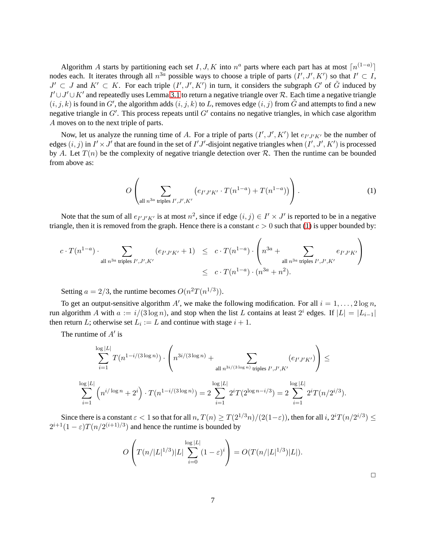Algorithm A starts by partitioning each set I, J, K into  $n^a$  parts where each part has at most  $\lceil n^{(1-a)} \rceil$ nodes each. It iterates through all  $n^{3a}$  possible ways to choose a triple of parts  $(I', J', K')$  so that  $I' \subset I$ ,  $J' \subset J$  and  $K' \subset K$ . For each triple  $(I', J', K')$  in turn, it considers the subgraph  $G'$  of  $\tilde{G}$  induced by  $I' \cup J' \cup K'$  and repeatedly uses Lemma [3.1](#page-6-1) to return a negative triangle over R. Each time a negative triangle  $(i, j, k)$  is found in G', the algorithm adds  $(i, j, k)$  to L, removes edge  $(i, j)$  from  $\tilde{G}$  and attempts to find a new negative triangle in  $G'$ . This process repeats until  $G'$  contains no negative triangles, in which case algorithm A moves on to the next triple of parts.

Now, let us analyze the running time of A. For a triple of parts  $(I', J', K')$  let  $e_{I'J'K'}$  be the number of edges  $(i, j)$  in  $I' \times J'$  that are found in the set of  $I'J'$ -disjoint negative triangles when  $(I', J', K')$  is processed by A. Let  $T(n)$  be the complexity of negative triangle detection over R. Then the runtime can be bounded from above as:

<span id="page-7-0"></span>
$$
O\left(\sum_{\text{all } n^{3a} \text{ triples } I', J', K'} \left(e_{I'J'K'} \cdot T(n^{1-a}) + T(n^{1-a})\right)\right).
$$
 (1)

Note that the sum of all  $e_{I'J'K'}$  is at most  $n^2$ , since if edge  $(i, j) \in I' \times J'$  is reported to be in a negative triangle, then it is removed from the graph. Hence there is a constant  $c > 0$  such that [\(1\)](#page-7-0) is upper bounded by:

$$
c \cdot T(n^{1-a}) \cdot \sum_{\text{all } n^{3a} \text{ triples } I', J', K'} (e_{I'J'K'} + 1) \leq c \cdot T(n^{1-a}) \cdot \left( n^{3a} + \sum_{\text{all } n^{3a} \text{ triples } I', J', K'} e_{I'J'K'} \right)
$$
  

$$
\leq c \cdot T(n^{1-a}) \cdot (n^{3a} + n^2).
$$

Setting  $a = 2/3$ , the runtime becomes  $O(n^2T(n^{1/3}))$ .

To get an output-sensitive algorithm A', we make the following modification. For all  $i = 1, ..., 2 \log n$ , run algorithm A with  $a := i/(3 \log n)$ , and stop when the list L contains at least  $2^i$  edges. If  $|L| = |L_{i-1}|$ then return L; otherwise set  $L_i := L$  and continue with stage  $i + 1$ .

The runtime of  $A'$  is

$$
\sum_{i=1}^{\log|L|} T(n^{1-i/(3\log n)}) \cdot \left( n^{3i/(3\log n)} + \sum_{\text{all } n^{3i/(3\log n)} \text{ triples } I', J', K'} (e_{I'J'K'}) \right) \le
$$
  

$$
\sum_{i=1}^{\log|L|} \left( n^{i/\log n} + 2^i \right) \cdot T(n^{1-i/(3\log n)}) = 2 \sum_{i=1}^{\log|L|} 2^i T(2^{\log n - i/3}) = 2 \sum_{i=1}^{\log|L|} 2^i T(n/2^{i/3}).
$$

$$
\sum_{i=1}^{\infty} \binom{n-1}{i} \binom{n-1}{i}
$$
\n
$$
\sum_{i=1}^{\infty} \binom{n-1}{i} \binom{n-1}{i}
$$
\n
$$
\sum_{i=1}^{\infty} \binom{n}{i} \binom{n}{i} \binom{n}{i}
$$
\n
$$
\sum_{i=1}^{\infty} \binom{n}{i} \binom{n}{i} \binom{n}{i}
$$
\n
$$
\sum_{i=1}^{\infty} \binom{n}{i} \binom{n}{i} \binom{n}{i}
$$
\n
$$
\sum_{i=1}^{\infty} \binom{n}{i} \binom{n}{i} \binom{n}{i}
$$

Since there is a constant  $\varepsilon < 1$  so that for all  $n, T(n) \geq T(2^{1/3}n)/(2(1-\varepsilon))$ , then for all  $i, 2^{i}T(n/2^{i/3}) \leq$  $2^{i+1}(1-\varepsilon)T(n/2^{(i+1)/3})$  and hence the runtime is bounded by

$$
O\left(T(n/|L|^{1/3})|L|\sum_{i=0}^{\log|L|}(1-\varepsilon)^i\right) = O(T(n/|L|^{1/3})|L|).
$$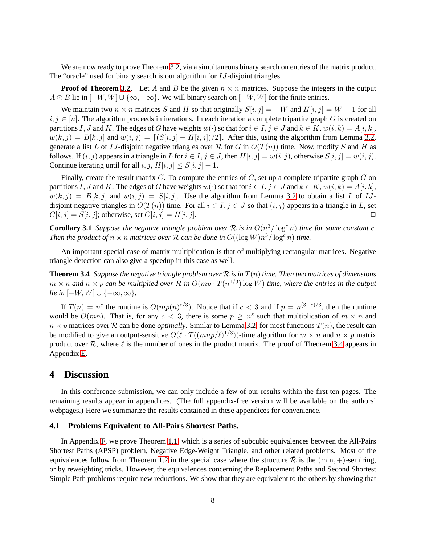We are now ready to prove Theorem [3.2,](#page-6-0) via a simultaneous binary search on entries of the matrix product. The "oracle" used for binary search is our algorithm for *IJ*-disjoint triangles.

**Proof of Theorem [3.2.](#page-6-0)** Let A and B be the given  $n \times n$  matrices. Suppose the integers in the output  $A \odot B$  lie in  $[-W, W] \cup \{\infty, -\infty\}$ . We will binary search on  $[-W, W]$  for the finite entries.

We maintain two  $n \times n$  matrices S and H so that originally  $S[i, j] = -W$  and  $H[i, j] = W + 1$  for all  $i, j \in [n]$ . The algorithm proceeds in iterations. In each iteration a complete tripartite graph G is created on partitions I, J and K. The edges of G have weights  $w(\cdot)$  so that for  $i \in I, j \in J$  and  $k \in K, w(i, k) = A[i, k]$ ,  $w(k, j) = B[k, j]$  and  $w(i, j) = [(S[i, j] + H[i, j])/2]$ . After this, using the algorithm from Lemma [3.2,](#page-6-4) generate a list L of IJ-disjoint negative triangles over R for G in  $O(T(n))$  time. Now, modify S and H as follows. If  $(i, j)$  appears in a triangle in L for  $i \in I, j \in J$ , then  $H[i, j] = w(i, j)$ , otherwise  $S[i, j] = w(i, j)$ . Continue iterating until for all  $i, j, H[i, j] \leq S[i, j] + 1$ .

Finally, create the result matrix  $C$ . To compute the entries of  $C$ , set up a complete tripartite graph  $G$  on partitions I, J and K. The edges of G have weights  $w(\cdot)$  so that for  $i \in I, j \in J$  and  $k \in K$ ,  $w(i, k) = A[i, k]$ ,  $w(k, j) = B[k, j]$  and  $w(i, j) = S[i, j]$ . Use the algorithm from Lemma [3.2](#page-6-4) to obtain a list L of IJdisjoint negative triangles in  $O(T(n))$  time. For all  $i \in I, j \in J$  so that  $(i, j)$  appears in a triangle in L, set  $C[i, j] = S[i, j]$ ; otherwise, set  $C[i, j] = H[i, j]$ .  $C[i, j] = S[i, j]$ ; otherwise, set  $C[i, j] = H[i, j]$ .

<span id="page-8-1"></span>**Corollary 3.1** *Suppose the negative triangle problem over*  $R$  *is in*  $O(n^3/\log^c n)$  *time for some constant c. Then the product of*  $n \times n$  *matrices over*  $\mathcal R$  *can be done in*  $O((\log W) n^3 / \log^c n)$  *time.* 

<span id="page-8-0"></span>An important special case of matrix multiplication is that of multiplying rectangular matrices. Negative triangle detection can also give a speedup in this case as well.

**Theorem 3.4** *Suppose the negative triangle problem over*  $\mathcal R$  *is in*  $T(n)$  *time. Then two matrices of dimensions*  $m \times n$  and  $n \times p$  can be multiplied over  $\mathcal R$  in  $O(m p \cdot T(n^{1/3}) \log W)$  time, where the entries in the output *lie in*  $[-W, W] \cup \{-\infty, \infty\}.$ 

If  $T(n) = n^c$  the runtime is  $O(mp(n)^{c/3})$ . Notice that if  $c < 3$  and if  $p = n^{(3-c)/3}$ , then the runtime would be  $O(mn)$ . That is, for any  $c < 3$ , there is some  $p \geq n^{\epsilon}$  such that multiplication of  $m \times n$  and  $n \times p$  matrices over R can be done *optimally*. Similar to Lemma [3.2,](#page-6-4) for most functions  $T(n)$ , the result can be modified to give an output-sensitive  $O(\ell \cdot T((mnp/\ell)^{1/3}))$ -time algorithm for  $m \times n$  and  $n \times p$  matrix product over  $\mathcal{R}$ , where  $\ell$  is the number of ones in the product matrix. The proof of Theorem [3.4](#page-8-0) appears in Appendix [E.](#page-19-0)

### **4 Discussion**

In this conference submission, we can only include a few of our results within the first ten pages. The remaining results appear in appendices. (The full appendix-free version will be available on the authors' webpages.) Here we summarize the results contained in these appendices for convenience.

#### **4.1 Problems Equivalent to All-Pairs Shortest Paths.**

In Appendix [F,](#page-20-0) we prove Theorem [1.1,](#page-2-0) which is a series of subcubic equivalences between the All-Pairs Shortest Paths (APSP) problem, Negative Edge-Weight Triangle, and other related problems. Most of the equivalences follow from Theorem [1.2](#page-2-2) in the special case where the structure R is the  $(\min, +)$ -semiring, or by reweighting tricks. However, the equivalences concerning the Replacement Paths and Second Shortest Simple Path problems require new reductions. We show that they are equivalent to the others by showing that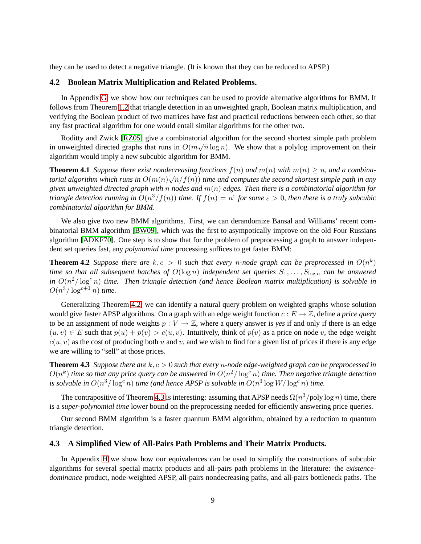they can be used to detect a negative triangle. (It is known that they can be reduced to APSP.)

#### **4.2 Boolean Matrix Multiplication and Related Problems.**

In Appendix [G,](#page-23-0) we show how our techniques can be used to provide alternative algorithms for BMM. It follows from Theorem [1.2](#page-2-2) that triangle detection in an unweighted graph, Boolean matrix multiplication, and verifying the Boolean product of two matrices have fast and practical reductions between each other, so that any fast practical algorithm for one would entail similar algorithms for the other two.

Roditty and Zwick [\[RZ05\]](#page-12-3) give a combinatorial algorithm for the second shortest simple path problem in unweighted directed graphs that runs in  $O(m\sqrt{n}\log n)$ . We show that a polylog improvement on their algorithm would imply a new subcubic algorithm for BMM.

**Theorem 4.1** *Suppose there exist nondecreasing functions*  $f(n)$  *and*  $m(n)$  *with*  $m(n) \geq n$ *, and a combinatorial algorithm which runs in*  $O(m(n)\sqrt{n}/f(n))$  *time and computes the second shortest simple path in any given unweighted directed graph with* n *nodes and* m(n) *edges. Then there is a combinatorial algorithm for triangle detection running in*  $O(n^3/f(n))$  *time. If*  $f(n) = n^{\varepsilon}$  *for some*  $\varepsilon > 0$ *, then there is a truly subcubic combinatorial algorithm for BMM.*

We also give two new BMM algorithms. First, we can derandomize Bansal and Williams' recent combinatorial BMM algorithm [\[BW09\]](#page-11-8), which was the first to asympotically improve on the old Four Russians algorithm [\[ADKF70\]](#page-10-2). One step is to show that for the problem of preprocessing a graph to answer independent set queries fast, any *polynomial time* processing suffices to get faster BMM:

<span id="page-9-0"></span>**Theorem 4.2** Suppose there are  $k, c > 0$  such that every n-node graph can be preprocessed in  $O(n^k)$ *time so that all subsequent batches of*  $O(\log n)$  *independent set queries*  $S_1, \ldots, S_{\log n}$  *can be answered* in  $O(n^2/\log^c n)$  *time. Then triangle detection (and hence Boolean matrix multiplication) is solvable in*  $O(n^3/\log^{c+1} n)$  *time.* 

Generalizing Theorem [4.2,](#page-9-0) we can identify a natural query problem on weighted graphs whose solution would give faster APSP algorithms. On a graph with an edge weight function  $c : E \to \mathbb{Z}$ , define a *price query* to be an assignment of node weights  $p: V \to \mathbb{Z}$ , where a query answer is *yes* if and only if there is an edge  $(u, v) \in E$  such that  $p(u) + p(v) > c(u, v)$ . Intuitively, think of  $p(v)$  as a price on node v, the edge weight  $c(u, v)$  as the cost of producing both u and v, and we wish to find for a given list of prices if there is any edge we are willing to "sell" at those prices.

<span id="page-9-1"></span>**Theorem 4.3** *Suppose there are* k, c > 0 *such that every* n*-node edge-weighted graph can be preprocessed in*  $O(n^k)$  time so that any price query can be answered in  $O(n^2/\log^c n)$  time. Then negative triangle detection is solvable in  $O(n^3/\log^c n)$  time (and hence APSP is solvable in  $O(n^3 \log W/\log^c n)$  time.

The contrapositive of Theorem [4.3](#page-9-1) is interesting: assuming that APSP needs  $\Omega(n^3/\text{poly}\log n)$  time, there is a *super-polynomial time* lower bound on the preprocessing needed for efficiently answering price queries.

Our second BMM algorithm is a faster quantum BMM algorithm, obtained by a reduction to quantum triangle detection.

#### **4.3 A Simplified View of All-Pairs Path Problems and Their Matrix Products.**

In Appendix [H](#page-28-0) we show how our equivalences can be used to simplify the constructions of subcubic algorithms for several special matrix products and all-pairs path problems in the literature: the *existencedominance* product, node-weighted APSP, all-pairs nondecreasing paths, and all-pairs bottleneck paths. The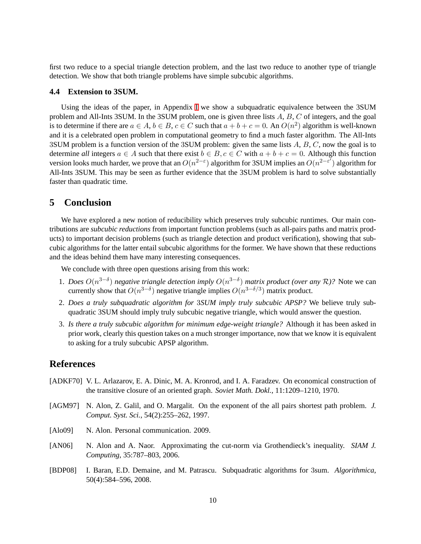first two reduce to a special triangle detection problem, and the last two reduce to another type of triangle detection. We show that both triangle problems have simple subcubic algorithms.

#### **4.4 Extension to 3SUM.**

Using the ideas of the paper, in Appendix [I](#page-30-0) we show a subquadratic equivalence between the 3SUM problem and All-Ints 3SUM. In the 3SUM problem, one is given three lists  $A, B, C$  of integers, and the goal is to determine if there are  $a \in A$ ,  $b \in B$ ,  $c \in C$  such that  $a + b + c = 0$ . An  $O(n^2)$  algorithm is well-known and it is a celebrated open problem in computational geometry to find a much faster algorithm. The All-Ints 3SUM problem is a function version of the 3SUM problem: given the same lists  $A, B, C$ , now the goal is to determine *all* integers  $a \in A$  such that there exist  $b \in B$ ,  $c \in C$  with  $a + b + c = 0$ . Although this function version looks much harder, we prove that an  $O(n^{2-\epsilon})$  algorithm for 3SUM implies an  $O(n^{2-\epsilon^7})$  algorithm for All-Ints 3SUM. This may be seen as further evidence that the 3SUM problem is hard to solve substantially faster than quadratic time.

### **5 Conclusion**

We have explored a new notion of reducibility which preserves truly subcubic runtimes. Our main contributions are *subcubic reductions* from important function problems (such as all-pairs paths and matrix products) to important decision problems (such as triangle detection and product verification), showing that subcubic algorithms for the latter entail subcubic algorithms for the former. We have shown that these reductions and the ideas behind them have many interesting consequences.

We conclude with three open questions arising from this work:

- 1. *Does*  $O(n^{3-\delta})$  *negative triangle detection imply*  $O(n^{3-\delta})$  *matrix product (over any*  $\mathcal{R}$ )? Note we can currently show that  $O(n^{3-\delta})$  negative triangle implies  $O(n^{3-\delta/3})$  matrix product.
- 2. *Does a truly subquadratic algorithm for* 3*SUM imply truly subcubic APSP?* We believe truly subquadratic 3SUM should imply truly subcubic negative triangle, which would answer the question.
- 3. *Is there a truly subcubic algorithm for minimum edge-weight triangle?* Although it has been asked in prior work, clearly this question takes on a much stronger importance, now that we know it is equivalent to asking for a truly subcubic APSP algorithm.

### **References**

- <span id="page-10-2"></span>[ADKF70] V. L. Arlazarov, E. A. Dinic, M. A. Kronrod, and I. A. Faradzev. On economical construction of the transitive closure of an oriented graph. *Soviet Math. Dokl.*, 11:1209–1210, 1970.
- <span id="page-10-3"></span>[AGM97] N. Alon, Z. Galil, and O. Margalit. On the exponent of the all pairs shortest path problem. *J. Comput. Syst. Sci.*, 54(2):255–262, 1997.
- <span id="page-10-0"></span>[Alo09] N. Alon. Personal communication. 2009.
- <span id="page-10-1"></span>[AN06] N. Alon and A. Naor. Approximating the cut-norm via Grothendieck's inequality. *SIAM J. Computing*, 35:787–803, 2006.
- <span id="page-10-4"></span>[BDP08] I. Baran, E.D. Demaine, and M. Patrascu. Subquadratic algorithms for 3sum. *Algorithmica*, 50(4):584–596, 2008.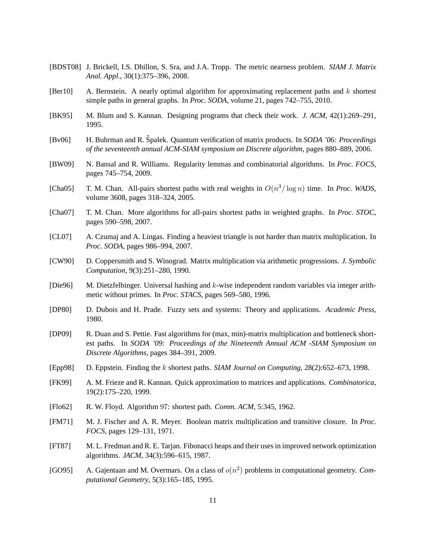- <span id="page-11-13"></span>[BDST08] J. Brickell, I.S. Dhillon, S. Sra, and J.A. Tropp. The metric nearness problem. *SIAM J. Matrix Anal. Appl.*, 30(1):375–396, 2008.
- <span id="page-11-4"></span>[Ber10] A. Bernstein. A nearly optimal algorithm for approximating replacement paths and  $k$  shortest simple paths in general graphs. In *Proc. SODA*, volume 21, pages 742–755, 2010.
- <span id="page-11-7"></span>[BK95] M. Blum and S. Kannan. Designing programs that check their work. *J. ACM*, 42(1):269–291, 1995.
- <span id="page-11-9"></span>[Bv06] H. Buhrman and R. Spalek. Quantum verification of matrix products. In ˇ *SODA '06: Proceedings of the seventeenth annual ACM-SIAM symposium on Discrete algorithm*, pages 880–889, 2006.
- <span id="page-11-8"></span>[BW09] N. Bansal and R. Williams. Regularity lemmas and combinatorial algorithms. In *Proc. FOCS*, pages 745–754, 2009.
- <span id="page-11-11"></span>[Cha05] T. M. Chan. All-pairs shortest paths with real weights in  $O(n^3/\log n)$  time. In *Proc. WADS*, volume 3608, pages 318–324, 2005.
- <span id="page-11-2"></span>[Cha07] T. M. Chan. More algorithms for all-pairs shortest paths in weighted graphs. In *Proc. STOC*, pages 590–598, 2007.
- <span id="page-11-5"></span>[CL07] A. Czumaj and A. Lingas. Finding a heaviest triangle is not harder than matrix multiplication. In *Proc. SODA*, pages 986–994, 2007.
- <span id="page-11-6"></span>[CW90] D. Coppersmith and S. Winograd. Matrix multiplication via arithmetic progressions. *J. Symbolic Computation*, 9(3):251–280, 1990.
- <span id="page-11-17"></span>[Die96] M. Dietzfelbinger. Universal hashing and k-wise independent random variables via integer arithmetic without primes. In *Proc. STACS*, pages 569–580, 1996.
- <span id="page-11-16"></span>[DP80] D. Dubois and H. Prade. Fuzzy sets and systems: Theory and applications. *Academic Press*, 1980.
- <span id="page-11-10"></span>[DP09] R. Duan and S. Pettie. Fast algorithms for (max, min)-matrix multiplication and bottleneck shortest paths. In *SODA '09: Proceedings of the Nineteenth Annual ACM -SIAM Symposium on Discrete Algorithms*, pages 384–391, 2009.
- <span id="page-11-3"></span>[Epp98] D. Eppstein. Finding the k shortest paths. *SIAM Journal on Computing*, 28(2):652–673, 1998.
- <span id="page-11-15"></span>[FK99] A. M. Frieze and R. Kannan. Quick approximation to matrices and applications. *Combinatorica*, 19(2):175–220, 1999.
- <span id="page-11-0"></span>[Flo62] R. W. Floyd. Algorithm 97: shortest path. *Comm. ACM*, 5:345, 1962.
- <span id="page-11-1"></span>[FM71] M. J. Fischer and A. R. Meyer. Boolean matrix multiplication and transitive closure. In *Proc. FOCS*, pages 129–131, 1971.
- <span id="page-11-12"></span>[FT87] M. L. Fredman and R. E. Tarjan. Fibonacci heaps and their uses in improved network optimization algorithms. *JACM*, 34(3):596–615, 1987.
- <span id="page-11-14"></span>[GO95] A. Gajentaan and M. Overmars. On a class of  $o(n^2)$  problems in computational geometry. *Computational Geometry*, 5(3):165–185, 1995.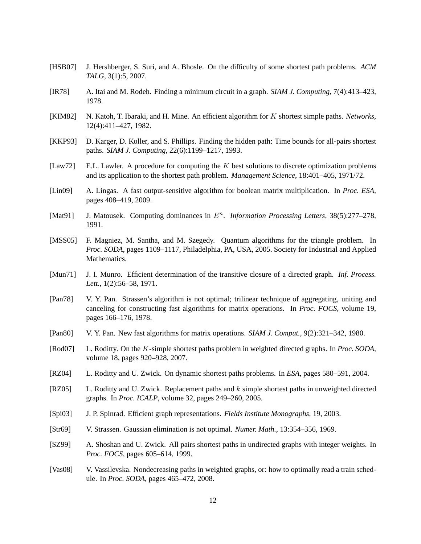- <span id="page-12-15"></span>[HSB07] J. Hershberger, S. Suri, and A. Bhosle. On the difficulty of some shortest path problems. *ACM TALG*, 3(1):5, 2007.
- <span id="page-12-5"></span>[IR78] A. Itai and M. Rodeh. Finding a minimum circuit in a graph. *SIAM J. Computing*, 7(4):413–423, 1978.
- <span id="page-12-2"></span>[KIM82] N. Katoh, T. Ibaraki, and H. Mine. An efficient algorithm for K shortest simple paths. *Networks*, 12(4):411–427, 1982.
- <span id="page-12-16"></span>[KKP93] D. Karger, D. Koller, and S. Phillips. Finding the hidden path: Time bounds for all-pairs shortest paths. *SIAM J. Computing*, 22(6):1199–1217, 1993.
- <span id="page-12-1"></span>[Law72] E.L. Lawler. A procedure for computing the  $K$  best solutions to discrete optimization problems and its application to the shortest path problem. *Management Science*, 18:401–405, 1971/72.
- <span id="page-12-17"></span>[Lin09] A. Lingas. A fast output-sensitive algorithm for boolean matrix multiplication. In *Proc. ESA*, pages 408–419, 2009.
- <span id="page-12-14"></span>[Mat91] J. Matousek. Computing dominances in  $E<sup>n</sup>$ . Information Processing Letters, 38(5):277-278, 1991.
- <span id="page-12-8"></span>[MSS05] F. Magniez, M. Santha, and M. Szegedy. Quantum algorithms for the triangle problem. In *Proc. SODA*, pages 1109–1117, Philadelphia, PA, USA, 2005. Society for Industrial and Applied Mathematics.
- <span id="page-12-0"></span>[Mun71] J. I. Munro. Efficient determination of the transitive closure of a directed graph. *Inf. Process. Lett.*, 1(2):56–58, 1971.
- <span id="page-12-11"></span>[Pan78] V. Y. Pan. Strassen's algorithm is not optimal; trilinear technique of aggregating, uniting and canceling for constructing fast algorithms for matrix operations. In *Proc. FOCS*, volume 19, pages 166–176, 1978.
- <span id="page-12-12"></span>[Pan80] V. Y. Pan. New fast algorithms for matrix operations. *SIAM J. Comput.*, 9(2):321–342, 1980.
- <span id="page-12-4"></span>[Rod07] L. Roditty. On the K-simple shortest paths problem in weighted directed graphs. In *Proc. SODA*, volume 18, pages 920–928, 2007.
- <span id="page-12-13"></span>[RZ04] L. Roditty and U. Zwick. On dynamic shortest paths problems. In *ESA*, pages 580–591, 2004.
- <span id="page-12-3"></span>[RZ05] L. Roditty and U. Zwick. Replacement paths and  $k$  simple shortest paths in unweighted directed graphs. In *Proc. ICALP*, volume 32, pages 249–260, 2005.
- <span id="page-12-7"></span>[Spi03] J. P. Spinrad. Efficient graph representations. *Fields Institute Monographs*, 19, 2003.
- <span id="page-12-6"></span>[Str69] V. Strassen. Gaussian elimination is not optimal. *Numer. Math.*, 13:354–356, 1969.
- <span id="page-12-10"></span>[SZ99] A. Shoshan and U. Zwick. All pairs shortest paths in undirected graphs with integer weights. In *Proc. FOCS*, pages 605–614, 1999.
- <span id="page-12-9"></span>[Vas08] V. Vassilevska. Nondecreasing paths in weighted graphs, or: how to optimally read a train schedule. In *Proc. SODA*, pages 465–472, 2008.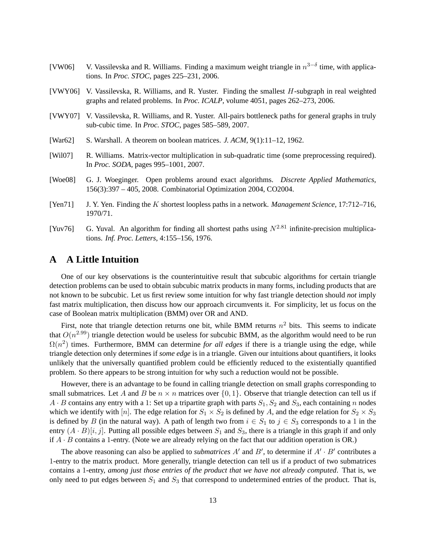- <span id="page-13-2"></span>[VW06] V. Vassilevska and R. Williams. Finding a maximum weight triangle in  $n^{3-\delta}$  time, with applications. In *Proc. STOC*, pages 225–231, 2006.
- <span id="page-13-3"></span>[VWY06] V. Vassilevska, R. Williams, and R. Yuster. Finding the smallest H-subgraph in real weighted graphs and related problems. In *Proc. ICALP*, volume 4051, pages 262–273, 2006.
- <span id="page-13-6"></span>[VWY07] V. Vassilevska, R. Williams, and R. Yuster. All-pairs bottleneck paths for general graphs in truly sub-cubic time. In *Proc. STOC*, pages 585–589, 2007.
- <span id="page-13-0"></span>[War62] S. Warshall. A theorem on boolean matrices. *J. ACM*, 9(1):11–12, 1962.
- <span id="page-13-8"></span>[Wil07] R. Williams. Matrix-vector multiplication in sub-quadratic time (some preprocessing required). In *Proc. SODA*, pages 995–1001, 2007.
- <span id="page-13-5"></span>[Woe08] G. J. Woeginger. Open problems around exact algorithms. *Discrete Applied Mathematics*, 156(3):397 – 405, 2008. Combinatorial Optimization 2004, CO2004.
- <span id="page-13-1"></span>[Yen71] J. Y. Yen. Finding the K shortest loopless paths in a network. *Management Science*, 17:712–716, 1970/71.
- <span id="page-13-7"></span>[Yuv76] G. Yuval. An algorithm for finding all shortest paths using  $N^{2.81}$  infinite-precision multiplications. *Inf. Proc. Letters*, 4:155–156, 1976.

### <span id="page-13-4"></span>**A A Little Intuition**

One of our key observations is the counterintuitive result that subcubic algorithms for certain triangle detection problems can be used to obtain subcubic matrix products in many forms, including products that are not known to be subcubic. Let us first review some intuition for why fast triangle detection should *not* imply fast matrix multiplication, then discuss how our approach circumvents it. For simplicity, let us focus on the case of Boolean matrix multiplication (BMM) over OR and AND.

First, note that triangle detection returns one bit, while BMM returns  $n^2$  bits. This seems to indicate that  $O(n^{2.99})$  triangle detection would be useless for subcubic BMM, as the algorithm would need to be run  $\Omega(n^2)$  times. Furthermore, BMM can determine *for all edges* if there is a triangle using the edge, while triangle detection only determines if *some edge* is in a triangle. Given our intuitions about quantifiers, it looks unlikely that the universally quantified problem could be efficiently reduced to the existentially quantified problem. So there appears to be strong intuition for why such a reduction would not be possible.

However, there is an advantage to be found in calling triangle detection on small graphs corresponding to small submatrices. Let A and B be  $n \times n$  matrices over  $\{0, 1\}$ . Observe that triangle detection can tell us if  $A \cdot B$  contains any entry with a 1: Set up a tripartite graph with parts  $S_1$ ,  $S_2$  and  $S_3$ , each containing n nodes which we identify with [n]. The edge relation for  $S_1 \times S_2$  is defined by A, and the edge relation for  $S_2 \times S_3$ is defined by B (in the natural way). A path of length two from  $i \in S_1$  to  $j \in S_3$  corresponds to a 1 in the entry  $(A \cdot B)[i, j]$ . Putting all possible edges between  $S_1$  and  $S_3$ , there is a triangle in this graph if and only if  $A \cdot B$  contains a 1-entry. (Note we are already relying on the fact that our addition operation is OR.)

The above reasoning can also be applied to *submatrices*  $A'$  and  $B'$ , to determine if  $A' \cdot B'$  contributes a 1-entry to the matrix product. More generally, triangle detection can tell us if a product of two submatrices contains a 1-entry, *among just those entries of the product that we have not already computed*. That is, we only need to put edges between  $S_1$  and  $S_3$  that correspond to undetermined entries of the product. That is,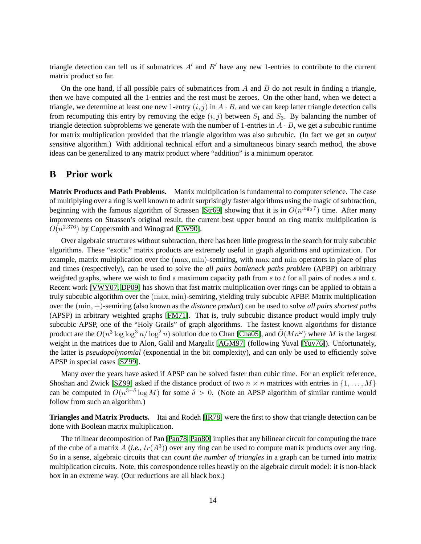triangle detection can tell us if submatrices  $A'$  and  $B'$  have any new 1-entries to contribute to the current matrix product so far.

On the one hand, if all possible pairs of submatrices from  $A$  and  $B$  do not result in finding a triangle, then we have computed all the 1-entries and the rest must be zeroes. On the other hand, when we detect a triangle, we determine at least one new 1-entry  $(i, j)$  in  $A \cdot B$ , and we can keep latter triangle detection calls from recomputing this entry by removing the edge  $(i, j)$  between  $S_1$  and  $S_3$ . By balancing the number of triangle detection subproblems we generate with the number of 1-entries in  $A \cdot B$ , we get a subcubic runtime for matrix multiplication provided that the triangle algorithm was also subcubic. (In fact we get an *output sensitive* algorithm.) With additional technical effort and a simultaneous binary search method, the above ideas can be generalized to any matrix product where "addition" is a minimum operator.

### <span id="page-14-0"></span>**B Prior work**

**Matrix Products and Path Problems.** Matrix multiplication is fundamental to computer science. The case of multiplying over a ring is well known to admit surprisingly faster algorithms using the magic of subtraction, beginning with the famous algorithm of Strassen [\[Str69\]](#page-12-6) showing that it is in  $O(n^{\log_2 7})$  time. After many improvements on Strassen's original result, the current best upper bound on ring matrix multiplication is  $O(n^{2.376})$  by Coppersmith and Winograd [\[CW90\]](#page-11-6).

Over algebraic structures without subtraction, there has been little progress in the search for truly subcubic algorithms. These "exotic" matrix products are extremely useful in graph algorithms and optimization. For example, matrix multiplication over the (max, min)-semiring, with max and min operators in place of plus and times (respectively), can be used to solve the *all pairs bottleneck paths problem* (APBP) on arbitrary weighted graphs, where we wish to find a maximum capacity path from s to t for all pairs of nodes s and t. Recent work [\[VWY07,](#page-13-6) [DP09\]](#page-11-10) has shown that fast matrix multiplication over rings can be applied to obtain a truly subcubic algorithm over the (max, min)-semiring, yielding truly subcubic APBP. Matrix multiplication over the (min, +)-semiring (also known as the *distance product*) can be used to solve *all pairs shortest paths* (APSP) in arbitrary weighted graphs [\[FM71\]](#page-11-1). That is, truly subcubic distance product would imply truly subcubic APSP, one of the "Holy Grails" of graph algorithms. The fastest known algorithms for distance product are the  $O(n^3 \log \log^3 n / \log^2 n)$  solution due to Chan [\[Cha05\]](#page-11-11), and  $O(Mn^{\omega})$  where M is the largest weight in the matrices due to Alon, Galil and Margalit [\[AGM97\]](#page-10-3) (following Yuval [\[Yuv76\]](#page-13-7)). Unfortunately, the latter is *pseudopolynomial* (exponential in the bit complexity), and can only be used to efficiently solve APSP in special cases [\[SZ99\]](#page-12-10).

Many over the years have asked if APSP can be solved faster than cubic time. For an explicit reference, Shoshan and Zwick [\[SZ99\]](#page-12-10) asked if the distance product of two  $n \times n$  matrices with entries in  $\{1, \ldots, M\}$ can be computed in  $O(n^{3-\delta}\log M)$  for some  $\delta > 0$ . (Note an APSP algorithm of similar runtime would follow from such an algorithm.)

**Triangles and Matrix Products.** Itai and Rodeh [\[IR78\]](#page-12-5) were the first to show that triangle detection can be done with Boolean matrix multiplication.

The trilinear decomposition of Pan [\[Pan78,](#page-12-11) [Pan80\]](#page-12-12) implies that any bilinear circuit for computing the trace of the cube of a matrix  $A$  (*i.e.*,  $tr(A^3)$ ) over any ring can be used to compute matrix products over any ring. So in a sense, algebraic circuits that can *count the number of triangles* in a graph can be turned into matrix multiplication circuits. Note, this correspondence relies heavily on the algebraic circuit model: it is non-black box in an extreme way. (Our reductions are all black box.)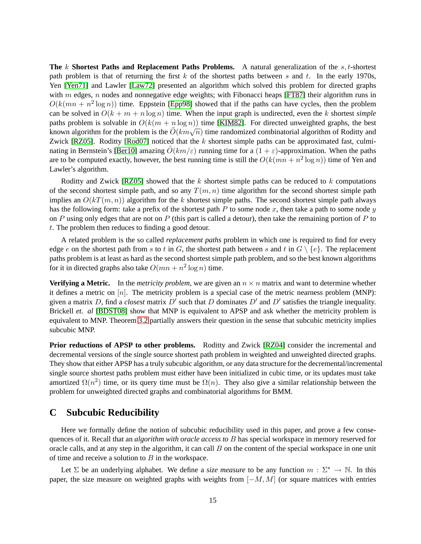**The** k **Shortest Paths and Replacement Paths Problems.** A natural generalization of the s, t-shortest path problem is that of returning the first  $k$  of the shortest paths between  $s$  and  $t$ . In the early 1970s, Yen [\[Yen71\]](#page-13-1) and Lawler [\[Law72\]](#page-12-1) presented an algorithm which solved this problem for directed graphs with  $m$  edges,  $n$  nodes and nonnegative edge weights; with Fibonacci heaps [\[FT87\]](#page-11-12) their algorithm runs in  $O(k(mn + n^2 \log n))$  time. Eppstein [\[Epp98\]](#page-11-3) showed that if the paths can have cycles, then the problem can be solved in  $O(k + m + n \log n)$  time. When the input graph is undirected, even the k shortest *simple* paths problem is solvable in  $O(k(m + n \log n))$  time [\[KIM82\]](#page-12-2). For directed unweighted graphs, the best known algorithm for the problem is the  $\tilde{O}(km\sqrt{n})$  time randomized combinatorial algorithm of Roditty and Zwick [\[RZ05\]](#page-12-3). Roditty [\[Rod07\]](#page-12-4) noticed that the  $k$  shortest simple paths can be approximated fast, culmi-nating in Bernstein's [\[Ber10\]](#page-11-4) amazing  $\ddot{O}(km/\varepsilon)$  running time for a  $(1+\varepsilon)$ -approximation. When the paths are to be computed exactly, however, the best running time is still the  $O(k(mn + n^2 \log n))$  time of Yen and Lawler's algorithm.

Roditty and Zwick [\[RZ05\]](#page-12-3) showed that the  $k$  shortest simple paths can be reduced to  $k$  computations of the second shortest simple path, and so any  $T(m, n)$  time algorithm for the second shortest simple path implies an  $O(kT(m, n))$  algorithm for the k shortest simple paths. The second shortest simple path always has the following form: take a prefix of the shortest path P to some node x, then take a path to some node  $y$ on P using only edges that are not on P (this part is called a detour), then take the remaining portion of P to t. The problem then reduces to finding a good detour.

A related problem is the so called *replacement paths* problem in which one is required to find for every edge e on the shortest path from s to t in G, the shortest path between s and t in  $G \setminus \{e\}$ . The replacement paths problem is at least as hard as the second shortest simple path problem, and so the best known algorithms for it in directed graphs also take  $O(mn + n^2 \log n)$  time.

**Verifying a Metric.** In the *metricity problem*, we are given an  $n \times n$  matrix and want to determine whether it defines a metric on  $[n]$ . The metricity problem is a special case of the metric nearness problem (MNP): given a matrix D, find a *closest* matrix  $D'$  such that D dominates  $D'$  and  $D'$  satisfies the triangle inequality. Brickell *et. al* [\[BDST08\]](#page-11-13) show that MNP is equivalent to APSP and ask whether the metricity problem is equivalent to MNP. Theorem [3.2](#page-6-0) partially answers their question in the sense that subcubic metricity implies subcubic MNP.

**Prior reductions of APSP to other problems.** Roditty and Zwick [\[RZ04\]](#page-12-13) consider the incremental and decremental versions of the single source shortest path problem in weighted and unweighted directed graphs. They show that either APSP has a truly subcubic algorithm, or any data structure for the decremental/incremental single source shortest paths problem must either have been initialized in cubic time, or its updates must take amortized  $\Omega(n^2)$  time, or its query time must be  $\Omega(n)$ . They also give a similar relationship between the problem for unweighted directed graphs and combinatorial algorithms for BMM.

### <span id="page-15-0"></span>**C Subcubic Reducibility**

Here we formally define the notion of subcubic reducibility used in this paper, and prove a few consequences of it. Recall that an *algorithm with oracle access to* B has special workspace in memory reserved for oracle calls, and at any step in the algorithm, it can call B on the content of the special workspace in one unit of time and receive a solution to  $B$  in the workspace.

Let  $\Sigma$  be an underlying alphabet. We define a *size measure* to be any function  $m : \Sigma^* \to \mathbb{N}$ . In this paper, the size measure on weighted graphs with weights from  $[-M, M]$  (or square matrices with entries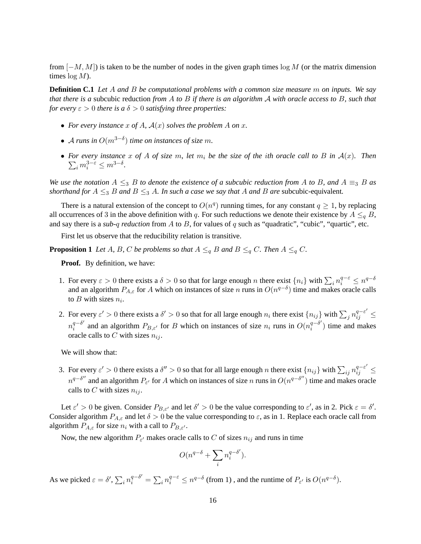from  $[-M, M]$ ) is taken to be the number of nodes in the given graph times log M (or the matrix dimension times  $log M$ ).

**Definition C.1** *Let* A *and* B *be computational problems with a common size measure* m *on inputs. We say that there is a* subcubic reduction *from* A *to* B *if there is an algorithm* A *with oracle access to* B*, such that for every*  $\varepsilon > 0$  *there is a*  $\delta > 0$  *satisfying three properties:* 

- For every instance x of A,  $A(x)$  solves the problem A on x.
- A runs in  $O(m^{3-\delta})$  time on instances of size m.
- For every instance<br> $\sum_i m_i^{3-\varepsilon} \leq m^{3-\delta}$ . • For every instance x of A of size m, let  $m_i$  be the size of the *i*th oracle call to B in  $A(x)$ . Then

*We use the notation*  $A \leq_3 B$  *to denote the existence of a subcubic reduction from* A *to* B, and  $A \equiv_3 B$  *as shorthand for*  $A \leq_3 B$  *and*  $B \leq_3 A$ *. In such a case we say that* A *and* B *are* subcubic-equivalent.

There is a natural extension of the concept to  $O(n^q)$  running times, for any constant  $q \ge 1$ , by replacing all occurrences of 3 in the above definition with q. For such reductions we denote their existence by  $A \leq_{q} B$ , and say there is a *sub-*q *reduction* from A to B, for values of q such as "quadratic", "cubic", "quartic", etc.

First let us observe that the reducibility relation is transitive.

**Proposition 1** *Let* A, B, C *be problems so that*  $A \leq_q B$  *and*  $B \leq_q C$ *. Then*  $A \leq_q C$ *.* 

**Proof.** By definition, we have:

- 1. For every  $\varepsilon > 0$  there exists a  $\delta > 0$  so that for large enough n there exist  $\{n_i\}$  with  $\sum_i n_i^{q-\varepsilon} \leq n^{q-\delta}$ and an algorithm  $P_{A,\varepsilon}$  for A which on instances of size n runs in  $O(n^{q-\delta})$  time and makes oracle calls to  $B$  with sizes  $n_i$ .
- 2. For every  $\varepsilon' > 0$  there exists a  $\delta' > 0$  so that for all large enough  $n_i$  there exist  $\{n_{ij}\}\$  with  $\sum_j n_{ij}^{q-\varepsilon'} \leq$  $n_i^{q-\delta'}$  $\int_{i}^{q-\delta'}$  and an algorithm  $P_{B,\varepsilon'}$  for B which on instances of size  $n_i$  runs in  $O(n_i^{q-\delta'})$  $i^{q-\sigma}$ ) time and makes oracle calls to C with sizes  $n_{ij}$ .

We will show that:

3. For every  $\varepsilon' > 0$  there exists a  $\delta'' > 0$  so that for all large enough n there exist  $\{n_{ij}\}$  with  $\sum_{ij} n_{ij}^{q-\varepsilon'} \leq$  $n^{q-\delta''}$  and an algorithm  $P_{\varepsilon'}$  for A which on instances of size n runs in  $O(n^{q-\delta''})$  time and makes oracle calls to C with sizes  $n_{ij}$ .

Let  $\varepsilon' > 0$  be given. Consider  $P_{B,\varepsilon'}$  and let  $\delta' > 0$  be the value corresponding to  $\varepsilon'$ , as in 2. Pick  $\varepsilon = \delta'$ . Consider algorithm  $P_{A,\varepsilon}$  and let  $\delta > 0$  be the value corresponding to  $\varepsilon$ , as in 1. Replace each oracle call from algorithm  $P_{A,\varepsilon}$  for size  $n_i$  with a call to  $P_{B,\varepsilon'}$ .

Now, the new algorithm  $P_{\varepsilon'}$  makes oracle calls to C of sizes  $n_{ij}$  and runs in time

$$
O(n^{q-\delta} + \sum_i n_i^{q-\delta'}).
$$

As we picked  $\varepsilon = \delta', \sum_i n_i^{q-\delta'} = \sum_i n_i^{q-\varepsilon} \le n^{q-\delta}$  (from 1), and the runtime of  $P_{\varepsilon'}$  is  $O(n^{q-\delta})$ .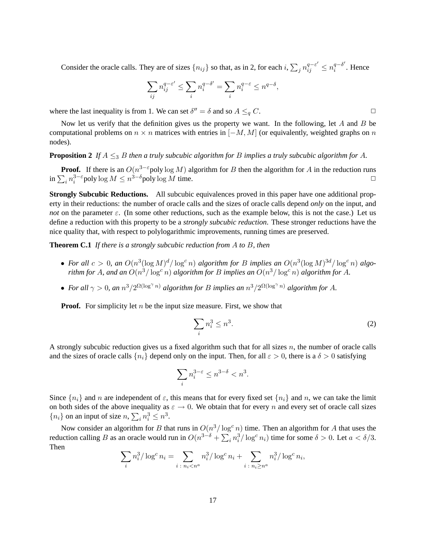Consider the oracle calls. They are of sizes  $\{n_{ij}\}$  so that, as in 2, for each  $i$ ,  $\sum_j n_{ij}^{q-\varepsilon'} \le n_i^{q-\delta'}$  $i^{q-\sigma}$ . Hence

$$
\sum_{ij} n^{q-\varepsilon'}_{ij} \leq \sum_i n^{q-\delta'}_i = \sum_i n^{q-\varepsilon}_i \leq n^{q-\delta},
$$

where the last inequality is from 1. We can set  $\delta'' = \delta$  and so  $A \leq_q C$ .

Now let us verify that the definition gives us the property we want. In the following, let A and B be computational problems on  $n \times n$  matrices with entries in  $[-M, M]$  (or equivalently, weighted graphs on n nodes).

#### **Proposition 2** If  $A \leq_3 B$  *then a truly subcubic algorithm for* B *implies a truly subcubic algorithm for* A.

**Proof.** If there is an  $O(n^{3-\epsilon}poly \log M)$  algorithm for B then the algorithm for A in the reduction runs  $\ln \sum_i n_i^{3-\epsilon}$  poly  $\log M \leq n^{3-\delta}$  poly  $\log M$  time.

**Strongly Subcubic Reductions.** All subcubic equivalences proved in this paper have one additional property in their reductions: the number of oracle calls and the sizes of oracle calls depend *only* on the input, and *not* on the parameter  $\varepsilon$ . (In some other reductions, such as the example below, this is not the case.) Let us define a reduction with this property to be a *strongly subcubic reduction*. These stronger reductions have the nice quality that, with respect to polylogarithmic improvements, running times are preserved.

<span id="page-17-1"></span>**Theorem C.1** *If there is a strongly subcubic reduction from* A *to* B*, then*

- For all  $c > 0$ , an  $O(n^3(\log M)^d/\log^c n)$  algorithm for B implies an  $O(n^3(\log M)^{3d}/\log^c n)$  algo*rithm for A, and an*  $O(n^3/\log^c n)$  *algorithm for B implies an*  $O(n^3/\log^c n)$  *algorithm for A.*
- For all  $\gamma > 0$ , an  $n^3/2^{\Omega(\log^{\gamma} n)}$  algorithm for B implies an  $n^3/2^{\Omega(\log^{\gamma} n)}$  algorithm for A.

**Proof.** For simplicity let  $n$  be the input size measure. First, we show that

<span id="page-17-0"></span>
$$
\sum_{i} n_i^3 \le n^3. \tag{2}
$$

A strongly subcubic reduction gives us a fixed algorithm such that for all sizes n, the number of oracle calls and the sizes of oracle calls  $\{n_i\}$  depend only on the input. Then, for all  $\varepsilon > 0$ , there is a  $\delta > 0$  satisfying

$$
\sum_{i} n_i^{3-\varepsilon} \le n^{3-\delta} < n^3.
$$

Since  $\{n_i\}$  and n are independent of  $\varepsilon$ , this means that for every fixed set  $\{n_i\}$  and n, we can take the limit on both sides of the above inequality as  $\varepsilon \to 0$ . We obtain that for every n and every set of oracle call sizes  ${n_i}$  on an input of size  $n, \sum_i n_i^3 \leq n^3$ .

Now consider an algorithm for B that runs in  $O(n^3/\log^c n)$  time. Then an algorithm for A that uses the reduction calling B as an oracle would run in  $O(n^{3-\delta} + \sum_i n_i^3 / \log^c n_i)$  time for some  $\delta > 0$ . Let  $a < \delta/3$ . Then

$$
\sum_{i} n_i^3 / \log^c n_i = \sum_{i \,:\, n_i < n^a} n_i^3 / \log^c n_i + \sum_{i \,:\, n_i \ge n^a} n_i^3 / \log^c n_i,
$$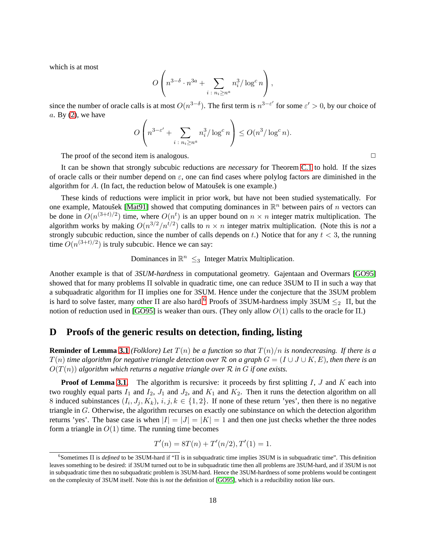which is at most

$$
O\left(n^{3-\delta} \cdot n^{3a} + \sum_{i \colon n_i \ge n^a} n_i^3 / \log^c n\right),\,
$$

since the number of oracle calls is at most  $O(n^{3-\delta})$ . The first term is  $n^{3-\epsilon'}$  for some  $\epsilon' > 0$ , by our choice of  $a.$  By  $(2)$ , we have

$$
O\left(n^{3-\varepsilon'} + \sum_{i \,:\, n_i \ge n^a} n_i^3 / \log^c n\right) \le O(n^3 / \log^c n).
$$

The proof of the second item is analogous.  $\Box$ 

It can be shown that strongly subcubic reductions are *necessary* for Theorem [C.1](#page-17-1) to hold. If the sizes of oracle calls or their number depend on  $\varepsilon$ , one can find cases where polylog factors are diminished in the algorithm for  $A$ . (In fact, the reduction below of Matousek is one example.)

These kinds of reductions were implicit in prior work, but have not been studied systematically. For one example, Matoušek [\[Mat91\]](#page-12-14) showed that computing dominances in  $\mathbb{R}^n$  between pairs of n vectors can be done in  $O(n^{(3+t)/2})$  time, where  $O(n^t)$  is an upper bound on  $n \times n$  integer matrix multiplication. The algorithm works by making  $O(n^{3/2}/n^{t/2})$  calls to  $n \times n$  integer matrix multiplication. (Note this is *not* a strongly subcubic reduction, since the number of calls depends on t.) Notice that for any  $t < 3$ , the running time  $O(n^{(3+t)/2})$  is truly subcubic. Hence we can say:

## Dominances in  $\mathbb{R}^n \leq_3$  Integer Matrix Multiplication.

Another example is that of *3SUM-hardness* in computational geometry. Gajentaan and Overmars [\[GO95\]](#page-11-14) showed that for many problems Π solvable in quadratic time, one can reduce 3SUM to Π in such a way that a subquadratic algorithm for Π implies one for 3SUM. Hence under the conjecture that the 3SUM problem is hard to solve faster, many other  $\Pi$  are also hard.<sup>[6](#page-18-1)</sup> Proofs of 3SUM-hardness imply 3SUM  $\leq_2$   $\Pi$ , but the notion of reduction used in [\[GO95\]](#page-11-14) is weaker than ours. (They only allow  $O(1)$  calls to the oracle for Π.)

### <span id="page-18-0"></span>**D Proofs of the generic results on detection, finding, listing**

**Reminder of Lemma [3.1](#page-6-1)** *(Folklore) Let*  $T(n)$  *be a function so that*  $T(n)/n$  *is nondecreasing. If there is a*  $T(n)$  *time algorithm for negative triangle detection over* R *on a graph*  $G = (I \cup J \cup K, E)$ *, then there is an*  $O(T(n))$  algorithm which returns a negative triangle over  $R$  in  $G$  if one exists.

**Proof of Lemma [3.1.](#page-6-1)** The algorithm is recursive: it proceeds by first splitting I, J and K each into two roughly equal parts  $I_1$  and  $I_2$ ,  $J_1$  and  $J_2$ , and  $K_1$  and  $K_2$ . Then it runs the detection algorithm on all 8 induced subinstances  $(I_i, J_j, K_k)$ ,  $i, j, k \in \{1, 2\}$ . If none of these return 'yes', then there is no negative triangle in G. Otherwise, the algorithm recurses on exactly one subinstance on which the detection algorithm returns 'yes'. The base case is when  $|I| = |J| = |K| = 1$  and then one just checks whether the three nodes form a triangle in  $O(1)$  time. The running time becomes

$$
T'(n) = 8T(n) + T'(n/2), T'(1) = 1.
$$

<span id="page-18-1"></span><sup>6</sup> Sometimes Π is *defined* to be 3SUM-hard if "Π is in subquadratic time implies 3SUM is in subquadratic time". This definition leaves something to be desired: if 3SUM turned out to be in subquadratic time then all problems are 3SUM-hard, and if 3SUM is not in subquadratic time then no subquadratic problem is 3SUM-hard. Hence the 3SUM-hardness of some problems would be contingent on the complexity of 3SUM itself. Note this is *not* the definition of [\[GO95\]](#page-11-14), which is a reducibility notion like ours.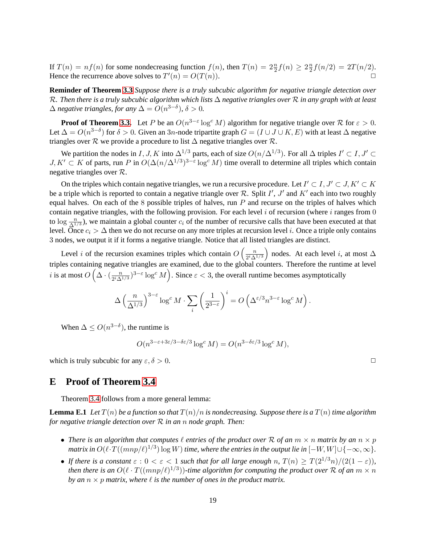If  $T(n) = nf(n)$  for some nondecreasing function  $f(n)$ , then  $T(n) = 2\frac{n}{2}f(n) \geq 2\frac{n}{2}$  $\frac{n}{2}f(n/2) = 2T(n/2).$ Hence the recurrence above solves to  $T'(n) = O(T(n)).$ 

**Reminder of Theorem [3.3](#page-6-2)** *Suppose there is a truly subcubic algorithm for negative triangle detection over* R*. Then there is a truly subcubic algorithm which lists* ∆ *negative triangles over* R *in any graph with at least*  $\Delta$  *negative triangles, for any*  $\Delta = O(n^{3-\delta})$ ,  $\delta > 0$ .

**Proof of Theorem [3.3.](#page-6-2)** Let P be an  $O(n^{3-\epsilon} \log^c M)$  algorithm for negative triangle over R for  $\epsilon > 0$ . Let  $\Delta = O(n^{3-\delta})$  for  $\delta > 0$ . Given an 3n-node tripartite graph  $G = (I \cup J \cup K, E)$  with at least  $\Delta$  negative triangles over R we provide a procedure to list  $\Delta$  negative triangles over R.

We partition the nodes in I, J, K into  $\Delta^{1/3}$  parts, each of size  $O(n/\Delta^{1/3})$ . For all  $\Delta$  triples  $I' \subset I, J' \subset I$  $J, K' \subset K$  of parts, run P in  $O(\Delta(n/\Delta^{1/3})^{3-\epsilon} \log^c M)$  time overall to determine all triples which contain negative triangles over R.

On the triples which contain negative triangles, we run a recursive procedure. Let  $I' \subset I, J' \subset J, K' \subset K$ be a triple which is reported to contain a negative triangle over  $R$ . Split  $I'$ ,  $J'$  and  $K'$  each into two roughly equal halves. On each of the 8 possible triples of halves, run  $P$  and recurse on the triples of halves which contain negative triangles, with the following provision. For each level  $i$  of recursion (where  $i$  ranges from  $0$ to  $\log \frac{n}{\Delta^{1/3}}$ ), we maintain a global counter  $c_i$  of the number of recursive calls that have been executed at that level. Once  $c_i > \Delta$  then we do not recurse on any more triples at recursion level i. Once a triple only contains 3 nodes, we output it if it forms a negative triangle. Notice that all listed triangles are distinct.

Level *i* of the recursion examines triples which contain  $O\left(\frac{n}{2i\Delta}\right)$  $2^i\Delta^{1/3}$ ) nodes. At each level i, at most  $\Delta$ triples containing negative triangles are examined, due to the global counters. Therefore the runtime at level *i* is at most  $O\left(\Delta \cdot \left(\frac{n}{2^i\Delta}\right)\right)$  $\frac{n}{2^i\Delta^{1/3}}$ )<sup>3- $\varepsilon$ </sup> log<sup>c</sup> M). Since  $\varepsilon$  < 3, the overall runtime becomes asymptotically

$$
\Delta \left(\frac{n}{\Delta^{1/3}}\right)^{3-\varepsilon} \log^c M \cdot \sum_i \left(\frac{1}{2^{3-\varepsilon}}\right)^i = O\left(\Delta^{\varepsilon/3} n^{3-\varepsilon} \log^c M\right).
$$

When  $\Delta \leq O(n^{3-\delta})$ , the runtime is

$$
O(n^{3-\varepsilon+3\varepsilon/3-\delta\varepsilon/3}\log^c M) = O(n^{3-\delta\varepsilon/3}\log^c M),
$$

<span id="page-19-0"></span>which is truly subcubic for any  $\varepsilon$ ,  $\delta > 0$ .

### **E Proof of Theorem [3.4](#page-8-0)**

<span id="page-19-1"></span>Theorem [3.4](#page-8-0) follows from a more general lemma:

**Lemma E.1** Let  $T(n)$  be a function so that  $T(n)/n$  is nondecreasing. Suppose there is a  $T(n)$  time algorithm *for negative triangle detection over* R *in an* n *node graph. Then:*

- There is an algorithm that computes  $\ell$  entries of the product over R of an  $m \times n$  matrix by an  $n \times p$ matrix in  $O(\ell \cdot T((mnp/\ell)^{1/3})\log W)$  time, where the entries in the output lie in  $[-W,W] \cup \{-\infty,\infty\}$ .
- If there is a constant  $\varepsilon$  :  $0 < \varepsilon < 1$  such that for all large enough n,  $T(n) \geq T(2^{1/3}n)/(2(1-\varepsilon))$ , then there is an  $O(\ell \cdot T((mnp/\ell)^{1/3}))$ -time algorithm for computing the product over R of an  $m \times n$ *by an*  $n \times p$  *matrix, where*  $\ell$  *is the number of ones in the product matrix.*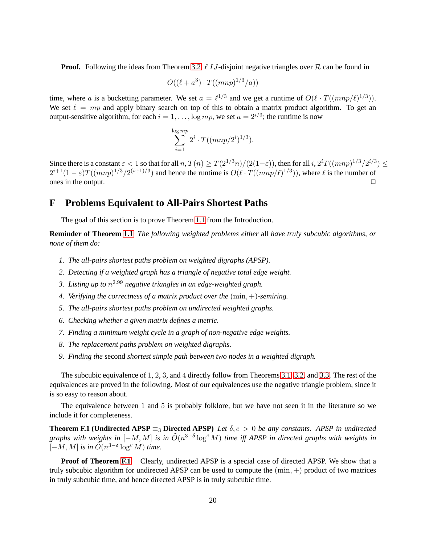**Proof.** Following the ideas from Theorem [3.2,](#page-6-0)  $\ell$  IJ-disjoint negative triangles over R can be found in

$$
O((\ell+a^3) \cdot T((mnp)^{1/3}/a))
$$

time, where a is a bucketting parameter. We set  $a = \ell^{1/3}$  and we get a runtime of  $O(\ell \cdot T((mnp/\ell)^{1/3}))$ . We set  $\ell = mp$  and apply binary search on top of this to obtain a matrix product algorithm. To get an output-sensitive algorithm, for each  $i = 1, ..., \log mp$ , we set  $a = 2^{i/3}$ ; the runtime is now

$$
\sum_{i=1}^{\log mp} 2^i \cdot T((mnp/2^i)^{1/3}).
$$

Since there is a constant  $\varepsilon < 1$  so that for all  $n, T(n) \geq T(2^{1/3}n)/(2(1-\varepsilon))$ , then for all  $i, 2^{i}T((mnp)^{1/3}/2^{i/3}) \leq$  $2^{i+1}(1-\varepsilon)T((mnp)^{1/3}/2^{(i+1)/3})$  and hence the runtime is  $O(\ell \cdot T((mnp/\ell)^{1/3}))$ , where  $\ell$  is the number of ones in the output.  $\Box$ 

### <span id="page-20-0"></span>**F Problems Equivalent to All-Pairs Shortest Paths**

The goal of this section is to prove Theorem [1.1](#page-2-0) from the Introduction.

**Reminder of Theorem [1.1](#page-2-0)** *The following weighted problems either* all *have truly subcubic algorithms, or none of them do:*

- *1. The all-pairs shortest paths problem on weighted digraphs (APSP).*
- *2. Detecting if a weighted graph has a triangle of negative total edge weight.*
- *3. Listing up to* n <sup>2</sup>.<sup>99</sup> *negative triangles in an edge-weighted graph.*
- *4. Verifying the correctness of a matrix product over the* (min, +)*-semiring.*
- *5. The all-pairs shortest paths problem on undirected weighted graphs.*
- *6. Checking whether a given matrix defines a metric.*
- *7. Finding a minimum weight cycle in a graph of non-negative edge weights.*
- *8. The replacement paths problem on weighted digraphs.*
- *9. Finding the* second *shortest simple path between two nodes in a weighted digraph.*

The subcubic equivalence of 1, 2, 3, and 4 directly follow from Theorems [3.1,](#page-5-1) [3.2,](#page-6-0) and [3.3.](#page-6-2) The rest of the equivalences are proved in the following. Most of our equivalences use the negative triangle problem, since it is so easy to reason about.

<span id="page-20-1"></span>The equivalence between 1 and 5 is probably folklore, but we have not seen it in the literature so we include it for completeness.

**Theorem F.1 (Undirected APSP**  $\equiv_3$  **Directed APSP**) *Let*  $\delta$ ,  $c > 0$  *be any constants. APSP in undirected graphs with weights in*  $[-M, M]$  *is in*  $\tilde{O}(n^{3-\delta} \log^c M)$  *time iff APSP in directed graphs with weights in*  $[-M, M]$  *is in*  $\tilde{O}(n^{3-\delta} \log^c M)$  *time.* 

**Proof of Theorem [F.1.](#page-20-1)** Clearly, undirected APSP is a special case of directed APSP. We show that a truly subcubic algorithm for undirected APSP can be used to compute the  $(\min, +)$  product of two matrices in truly subcubic time, and hence directed APSP is in truly subcubic time.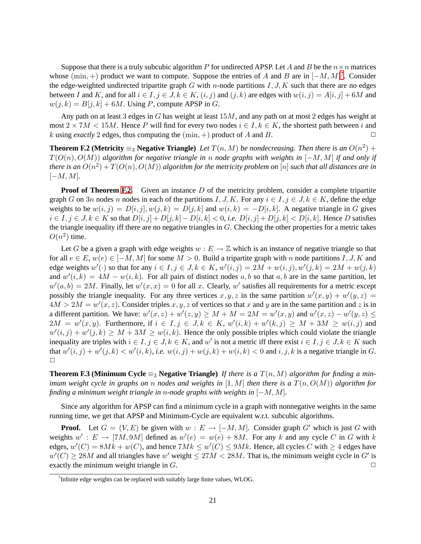Suppose that there is a truly subcubic algorithm P for undirected APSP. Let A and B be the  $n \times n$  matrices whose  $(\min, +)$  product we want to compute. Suppose the entries of A and B are in  $[-M, M]^7$  $[-M, M]^7$ . Consider the edge-weighted undirected tripartite graph  $G$  with n-node partitions  $I, J, K$  such that there are no edges between I and K, and for all  $i \in I, j \in J, k \in K$ ,  $(i, j)$  and  $(j, k)$  are edges with  $w(i, j) = A[i, j] + 6M$  and  $w(j, k) = B[j, k] + 6M$ . Using P, compute APSP in G.

Any path on at least 3 edges in G has weight at least 15M, and any path on at most 2 edges has weight at most  $2 \times 7M < 15M$ . Hence P will find for every two nodes  $i \in I, k \in K$ , the shortest path between i and k using exactly 2 edges thus computing the (min +) product of A and B k using *exactly* 2 edges, thus computing the  $(\min, +)$  product of A and B.

<span id="page-21-1"></span>**Theorem F.2 (Metricity**  $\equiv_3$  **Negative Triangle**) *Let*  $T(n, M)$  *be nondecreasing. Then there is an*  $O(n^2)$  + T(O(n), O(M)) *algorithm for negative triangle in* n *node graphs with weights in* [−M, M] *if and only if* there is an  $O(n^2) + T(O(n), O(M))$  algorithm for the metricity problem on  $[n]$  such that all distances are in  $[-M, M]$ .

**Proof of Theorem [F.2.](#page-21-1)** Given an instance D of the metricity problem, consider a complete tripartite graph G on 3n nodes n nodes in each of the partitions I, J, K. For any  $i \in I, j \in J, k \in K$ , define the edge weights to be  $w(i, j) = D[i, j], w(j, k) = D[j, k]$  and  $w(i, k) = -D[i, k]$ . A negative triangle in G gives  $i \in I, j \in J, k \in K$  so that  $D[i, j] + D[j, k] - D[i, k] < 0$ , *i.e.*  $D[i, j] + D[j, k] < D[i, k]$ . Hence D satisfies the triangle inequality iff there are no negative triangles in  $G$ . Checking the other properties for a metric takes  $O(n^2)$  time.

Let G be a given a graph with edge weights  $w : E \to \mathbb{Z}$  which is an instance of negative triangle so that for all  $e \in E$ ,  $w(e) \in [-M, M]$  for some  $M > 0$ . Build a tripartite graph with n node partitions I, J, K and edge weights  $w'(\cdot)$  so that for any  $i \in I, j \in J, k \in K$ ,  $w'(i, j) = 2M + w(i, j), w'(j, k) = 2M + w(j, k)$ and  $w'(i,k) = 4M - w(i,k)$ . For all pairs of distinct nodes a, b so that a, b are in the same partition, let  $w'(a, b) = 2M$ . Finally, let  $w'(x, x) = 0$  for all x. Clearly, w' satisfies all requirements for a metric except possibly the triangle inequality. For any three vertices  $x, y, z$  in the same partition  $w'(x, y) + w'(y, z) =$  $4M > 2M = w'(x, z)$ . Consider triples  $x, y, z$  of vertices so that x and y are in the same partition and z is in a different partition. We have:  $w'(x, z) + w'(z, y) \ge M + M = 2M = w'(x, y)$  and  $w'(x, z) - w'(y, z) \le M$  $2M = w'(x, y)$ . Furthermore, if  $i \in I, j \in J, k \in K$ ,  $w'(i, k) + w'(k, j) \ge M + 3M \ge w(i, j)$  and  $w'(i, j) + w'(j, k) \ge M + 3M \ge w(i, k)$ . Hence the only possible triples which could violate the triangle inequality are triples with  $i \in I, j \in J, k \in K$ , and w' is not a metric iff there exist  $i \in I, j \in J, k \in K$  such that  $w'(i, j) + w'(j, k) < w'(i, k)$ , *i.e.*  $w(i, j) + w(j, k) + w(i, k) < 0$  and  $i, j, k$  is a negative triangle in G.  $\Box$ 

**Theorem F.3 (Minimum Cycle**  $\equiv_3$  **Negative Triangle)** *If there is a*  $T(n, M)$  *algorithm for finding a minimum weight cycle in graphs on* n *nodes and weights in* [1, M] *then there is a* T(n, O(M)) *algorithm for finding a minimum weight triangle in* n*-node graphs with weights in* [−M, M]*.*

Since any algorithm for APSP can find a minimum cycle in a graph with nonnegative weights in the same running time, we get that APSP and Minimum-Cycle are equivalent w.r.t. subcubic algorithms.

**Proof.** Let  $G = (V, E)$  be given with  $w : E \to [-M, M]$ . Consider graph G' which is just G with weights  $w' : E \to [7M, 9M]$  defined as  $w'(e) = w(e) + 8M$ . For any k and any cycle C in G with k edges,  $w'(C) = 8Mk + w(C)$ , and hence  $7Mk \leq w'(C) \leq 9Mk$ . Hence, all cycles C with  $\geq 4$  edges have  $w'(C) \ge 28M$  and all triangles have w' weight  $\le 27M < 28M$ . That is, the minimum weight cycle in G' is exactly the minimum weight triangle in  $G$ .

<span id="page-21-0"></span><sup>&</sup>lt;sup>7</sup>Infinite edge weights can be replaced with suitably large finite values, WLOG.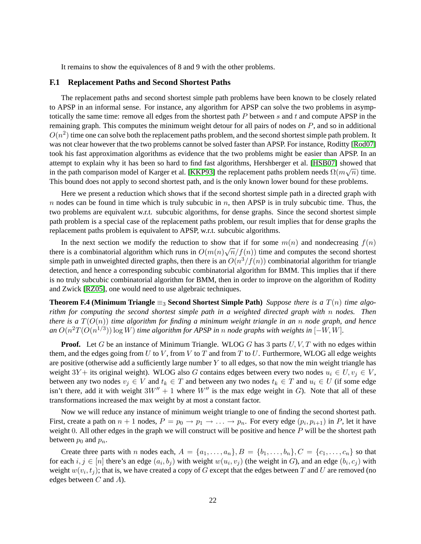It remains to show the equivalences of 8 and 9 with the other problems.

#### **F.1 Replacement Paths and Second Shortest Paths**

The replacement paths and second shortest simple path problems have been known to be closely related to APSP in an informal sense. For instance, any algorithm for APSP can solve the two problems in asymptotically the same time: remove all edges from the shortest path  $P$  between  $s$  and  $t$  and compute APSP in the remaining graph. This computes the minimum weight detour for all pairs of nodes on  $P$ , and so in additional  $O(n^2)$  time one can solve both the replacement paths problem, and the second shortest simple path problem. It was not clear however that the two problems cannot be solved faster than APSP. For instance, Roditty [\[Rod07\]](#page-12-4) took his fast approximation algorithms as evidence that the two problems might be easier than APSP. In an attempt to explain why it has been so hard to find fast algorithms, Hershberger et al. [\[HSB07\]](#page-12-15) showed that in the path comparison model of Karger et al. [\[KKP93\]](#page-12-16) the replacement paths problem needs  $\Omega(m\sqrt{n})$  time. This bound does not apply to second shortest path, and is the only known lower bound for these problems.

Here we present a reduction which shows that if the second shortest simple path in a directed graph with n nodes can be found in time which is truly subcubic in  $n$ , then APSP is in truly subcubic time. Thus, the two problems are equivalent w.r.t. subcubic algorithms, for dense graphs. Since the second shortest simple path problem is a special case of the replacement paths problem, our result implies that for dense graphs the replacement paths problem is equivalent to APSP, w.r.t. subcubic algorithms.

In the next section we modify the reduction to show that if for some  $m(n)$  and nondecreasing  $f(n)$ there is a combinatorial algorithm which runs in  $O(m(n)\sqrt{n}/f(n))$  time and computes the second shortest simple path in unweighted directed graphs, then there is an  $O(n^3/f(n))$  combinatorial algorithm for triangle detection, and hence a corresponding subcubic combinatorial algorithm for BMM. This implies that if there is no truly subcubic combinatorial algorithm for BMM, then in order to improve on the algorithm of Roditty and Zwick [\[RZ05\]](#page-12-3), one would need to use algebraic techniques.

**Theorem F.4 (Minimum Triangle**  $\equiv_3$  **Second Shortest Simple Path**) *Suppose there is a*  $T(n)$  *time algorithm for computing the second shortest simple path in a weighted directed graph with* n *nodes. Then there is a* T(O(n)) *time algorithm for finding a minimum weight triangle in an* n *node graph, and hence* an  $O(n^2T(O(n^{1/3}))$  log W) *time algorithm for APSP in n node graphs with weights in*  $[-W, W]$ *.* 

**Proof.** Let G be an instance of Minimum Triangle. WLOG G has 3 parts U, V, T with no edges within them, and the edges going from U to V, from V to T and from T to U. Furthermore, WLOG all edge weights are positive (otherwise add a sufficiently large number  $Y$  to all edges, so that now the min weight triangle has weight 3Y + its original weight). WLOG also G contains edges between every two nodes  $u_i \in U, v_j \in V$ , between any two nodes  $v_j \in V$  and  $t_k \in T$  and between any two nodes  $t_k \in T$  and  $u_i \in U$  (if some edge isn't there, add it with weight  $3W'' + 1$  where W'' is the max edge weight in G). Note that all of these transformations increased the max weight by at most a constant factor.

Now we will reduce any instance of minimum weight triangle to one of finding the second shortest path. First, create a path on  $n + 1$  nodes,  $P = p_0 \rightarrow p_1 \rightarrow \ldots \rightarrow p_n$ . For every edge  $(p_i, p_{i+1})$  in P, let it have weight 0. All other edges in the graph we will construct will be positive and hence  $P$  will be the shortest path between  $p_0$  and  $p_n$ .

Create three parts with n nodes each,  $A = \{a_1, \ldots, a_n\}$ ,  $B = \{b_1, \ldots, b_n\}$ ,  $C = \{c_1, \ldots, c_n\}$  so that for each  $i, j \in [n]$  there's an edge  $(a_i, b_j)$  with weight  $w(u_i, v_j)$  (the weight in G), and an edge  $(b_i, c_j)$  with weight  $w(v_i, t_j)$ ; that is, we have created a copy of G except that the edges between T and U are removed (no edges between  $C$  and  $A$ ).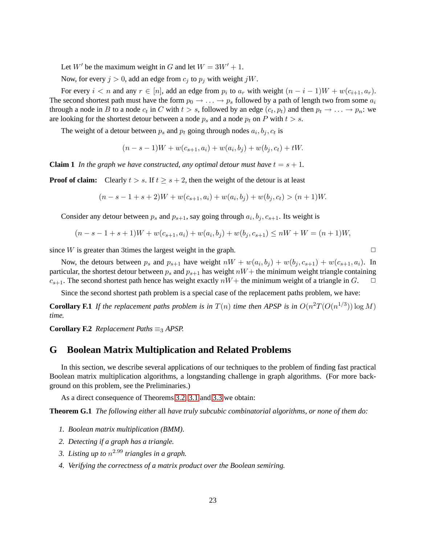Let  $W'$  be the maximum weight in G and let  $W = 3W' + 1$ .

Now, for every  $j > 0$ , add an edge from  $c_j$  to  $p_j$  with weight jW.

For every  $i < n$  and any  $r \in [n]$ , add an edge from  $p_i$  to  $a_r$  with weight  $(n - i - 1)W + w(c_{i+1}, a_r)$ . The second shortest path must have the form  $p_0 \to \ldots \to p_s$  followed by a path of length two from some  $a_i$ through a node in B to a node  $c_t$  in C with  $t > s$ , followed by an edge  $(c_t, p_t)$  and then  $p_t \to \ldots \to p_n$ : we are looking for the shortest detour between a node  $p_s$  and a node  $p_t$  on P with  $t > s$ .

The weight of a detour between  $p_s$  and  $p_t$  going through nodes  $a_i, b_j, c_t$  is

$$
(n - s - 1)W + w(c_{s+1}, a_i) + w(a_i, b_j) + w(b_j, c_t) + tW.
$$

**Claim 1** In the graph we have constructed, any optimal detour must have  $t = s + 1$ .

**Proof of claim:** Clearly  $t > s$ . If  $t \geq s + 2$ , then the weight of the detour is at least

$$
(n - s - 1 + s + 2)W + w(c_{s+1}, a_i) + w(a_i, b_j) + w(b_j, c_t) > (n + 1)W.
$$

Consider any detour between  $p_s$  and  $p_{s+1}$ , say going through  $a_i, b_j, c_{s+1}$ . Its weight is

$$
(n-s-1+s+1)W + w(c_{s+1}, a_i) + w(a_i, b_j) + w(b_j, c_{s+1}) \le nW + W = (n+1)W,
$$

since W is greater than 3times the largest weight in the graph.  $\Box$ 

Now, the detours between  $p_s$  and  $p_{s+1}$  have weight  $nW + w(a_i, b_j) + w(b_j, c_{s+1}) + w(c_{s+1}, a_i)$ . In particular, the shortest detour between  $p_s$  and  $p_{s+1}$  has weight  $nW+$  the minimum weight triangle containing  $c_{s+1}$ . The second shortest path hence has weight exactly  $nW+$  the minimum weight of a triangle in G.  $\Box$ 

Since the second shortest path problem is a special case of the replacement paths problem, we have:

**Corollary F.1** If the replacement paths problem is in  $T(n)$  time then APSP is in  $O(n^2T(O(n^{1/3})) \log M)$ *time.*

<span id="page-23-0"></span>**Corollary F.2** *Replacement Paths*  $\equiv_3$  *APSP.* 

### **G Boolean Matrix Multiplication and Related Problems**

In this section, we describe several applications of our techniques to the problem of finding fast practical Boolean matrix multiplication algorithms, a longstanding challenge in graph algorithms. (For more background on this problem, see the Preliminaries.)

As a direct consequence of Theorems [3.2,](#page-6-0) [3.1](#page-5-1) and [3.3](#page-6-2) we obtain:

**Theorem G.1** *The following either* all *have truly subcubic combinatorial algorithms, or none of them do:*

- *1. Boolean matrix multiplication (BMM).*
- *2. Detecting if a graph has a triangle.*
- <span id="page-23-1"></span>*3. Listing up to* n <sup>2</sup>.<sup>99</sup> *triangles in a graph.*
- *4. Verifying the correctness of a matrix product over the Boolean semiring.*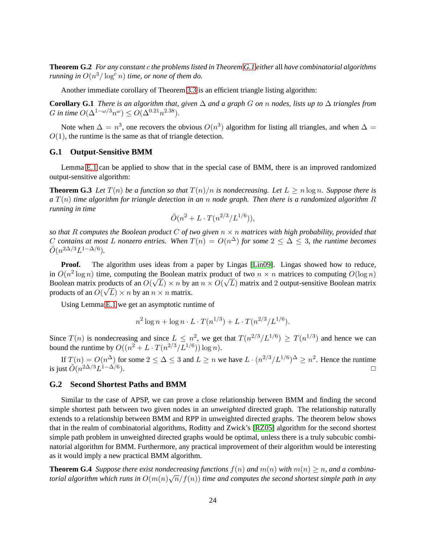**Theorem G.2** *For any constant* c *the problems listed in Theorem [G.1](#page-23-1) either* all *have combinatorial algorithms running in*  $O(n^3/\log^c n)$  *time, or none of them do.* 

Another immediate corollary of Theorem [3.3](#page-6-2) is an efficient triangle listing algorithm:

**Corollary G.1** *There is an algorithm that, given* ∆ *and a graph* G *on* n *nodes, lists up to* ∆ *triangles from* G in time  $O(\Delta^{1-\omega/3}n^{\omega}) \leq O(\Delta^{0.21}n^{2.38}).$ 

Note when  $\Delta = n^3$ , one recovers the obvious  $O(n^3)$  algorithm for listing all triangles, and when  $\Delta =$  $O(1)$ , the runtime is the same as that of triangle detection.

#### **G.1 Output-Sensitive BMM**

Lemma [E.1](#page-19-1) can be applied to show that in the special case of BMM, there is an improved randomized output-sensitive algorithm:

**Theorem G.3** Let  $T(n)$  be a function so that  $T(n)/n$  is nondecreasing. Let  $L > n \log n$ . Suppose there is *a* T(n) *time algorithm for triangle detection in an* n *node graph. Then there is a randomized algorithm* R *running in time*

<span id="page-24-0"></span>
$$
\tilde{O}(n^2 + L \cdot T(n^{2/3}/L^{1/6})),
$$

*so that* R *computes the Boolean product* C *of two given* n × n *matrices with high probability, provided that* C contains at most L nonzero entries. When  $T(n) = O(n^{\Delta})$  for some  $2 \leq \Delta \leq 3$ , the runtime becomes  $\tilde{O}(n^{2\Delta/3}L^{1-\Delta/6}).$ 

**Proof.** The algorithm uses ideas from a paper by Lingas [\[Lin09\]](#page-12-17). Lingas showed how to reduce, in  $O(n^2 \log n)$  time, computing the Boolean matrix product of two  $n \times n$  matrices to computing  $O(\log n)$ Boolean matrix products of an  $O(\sqrt{L}) \times n$  by an  $n \times O(\sqrt{L})$  matrix and 2 output-sensitive Boolean matrix products of an  $O(\sqrt{L}) \times n$  by an  $n \times n$  matrix.

Using Lemma [E.1](#page-19-1) we get an asymptotic runtime of

$$
n^2 \log n + \log n \cdot L \cdot T(n^{1/3}) + L \cdot T(n^{2/3}/L^{1/6}).
$$

Since  $T(n)$  is nondecreasing and since  $L \leq n^2$ , we get that  $T(n^{2/3}/L^{1/6}) \geq T(n^{1/3})$  and hence we can bound the runtime by  $O((n^2 + L \cdot T(n^{2/3}/L^{1/6})) \log n)$ .

If  $T(n) = O(n^{\Delta})$  for some  $2 \leq \Delta \leq 3$  and  $L \geq n$  we have  $L \cdot (n^{2/3}/L^{1/6})^{\Delta} \geq n^2$ . Hence the runtime is just  $\tilde{O}(n^{2\Delta/3}L^{1-\Delta/6}$ ).  $\Box$ 

#### **G.2 Second Shortest Paths and BMM**

Similar to the case of APSP, we can prove a close relationship between BMM and finding the second simple shortest path between two given nodes in an *unweighted* directed graph. The relationship naturally extends to a relationship between BMM and RPP in unweighted directed graphs. The theorem below shows that in the realm of combinatorial algorithms, Roditty and Zwick's [\[RZ05\]](#page-12-3) algorithm for the second shortest simple path problem in unweighted directed graphs would be optimal, unless there is a truly subcubic combinatorial algorithm for BMM. Furthermore, any practical improvement of their algorithm would be interesting as it would imply a new practical BMM algorithm.

**Theorem G.4** Suppose there exist nondecreasing functions  $f(n)$  and  $m(n)$  with  $m(n) \geq n$ , and a combina*torial algorithm which runs in*  $O(m(n)\sqrt{n}/f(n))$  *time and computes the second shortest simple path in any*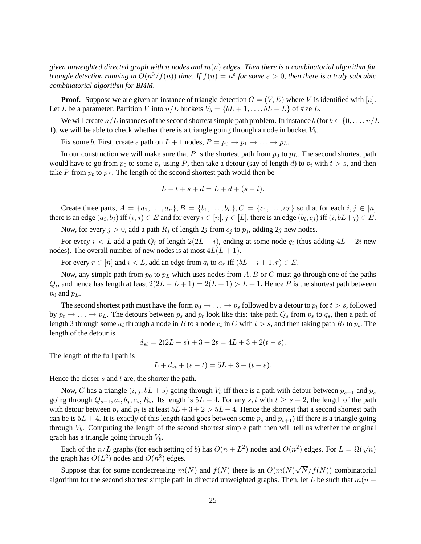*given unweighted directed graph with* n *nodes and* m(n) *edges. Then there is a combinatorial algorithm for triangle detection running in*  $O(n^3/f(n))$  *time. If*  $f(n) = n^{\varepsilon}$  *for some*  $\varepsilon > 0$ *, then there is a truly subcubic combinatorial algorithm for BMM.*

**Proof.** Suppose we are given an instance of triangle detection  $G = (V, E)$  where V is identified with [n]. Let L be a parameter. Partition V into  $n/L$  buckets  $V_b = \{bL + 1, \ldots, bL + L\}$  of size L.

We will create  $n/L$  instances of the second shortest simple path problem. In instance  $b$  (for  $b \in \{0, \ldots, n/L-\}$ 1), we will be able to check whether there is a triangle going through a node in bucket  $V<sub>b</sub>$ .

Fix some b. First, create a path on  $L + 1$  nodes,  $P = p_0 \rightarrow p_1 \rightarrow \dots \rightarrow p_L$ .

In our construction we will make sure that P is the shortest path from  $p_0$  to  $p_L$ . The second shortest path would have to go from  $p_0$  to some  $p_s$  using P, then take a detour (say of length d) to  $p_t$  with  $t > s$ , and then take  $P$  from  $p_t$  to  $p_L$ . The length of the second shortest path would then be

$$
L - t + s + d = L + d + (s - t).
$$

Create three parts,  $A = \{a_1, \ldots, a_n\}, B = \{b_1, \ldots, b_n\}, C = \{c_1, \ldots, c_L\}$  so that for each  $i, j \in [n]$ there is an edge  $(a_i, b_j)$  iff  $(i, j) \in E$  and for every  $i \in [n], j \in [L]$ , there is an edge  $(b_i, c_j)$  iff  $(i, bL+j) \in E$ .

Now, for every  $j > 0$ , add a path  $R_j$  of length  $2j$  from  $c_j$  to  $p_j$ , adding  $2j$  new nodes.

For every  $i < L$  add a path  $Q_i$  of length  $2(2L - i)$ , ending at some node  $q_i$  (thus adding  $4L - 2i$  new nodes). The overall number of new nodes is at most  $4L(L + 1)$ .

For every  $r \in [n]$  and  $i < L$ , add an edge from  $q_i$  to  $a_r$  iff  $(bL + i + 1, r) \in E$ .

Now, any simple path from  $p_0$  to  $p<sub>L</sub>$  which uses nodes from A, B or C must go through one of the paths  $Q_i$ , and hence has length at least  $2(2L - L + 1) = 2(L + 1) > L + 1$ . Hence P is the shortest path between  $p_0$  and  $p_L$ .

The second shortest path must have the form  $p_0 \to \ldots \to p_s$  followed by a detour to  $p_t$  for  $t > s$ , followed by  $p_t \to \ldots \to p_L$ . The detours between  $p_s$  and  $p_t$  look like this: take path  $Q_s$  from  $p_s$  to  $q_s$ , then a path of length 3 through some  $a_i$  through a node in  $B$  to a node  $c_t$  in  $C$  with  $t > s$ , and then taking path  $R_t$  to  $p_t$ . The length of the detour is

$$
d_{st} = 2(2L - s) + 3 + 2t = 4L + 3 + 2(t - s).
$$

The length of the full path is

$$
L + d_{st} + (s - t) = 5L + 3 + (t - s).
$$

Hence the closer s and t are, the shorter the path.

Now, G has a triangle  $(i, j, bL + s)$  going through  $V_b$  iff there is a path with detour between  $p_{s-1}$  and  $p_s$ going through  $Q_{s-1}, a_i, b_j, c_s, R_s$ . Its length is  $5L + 4$ . For any  $s, t$  with  $t \geq s+2$ , the length of the path with detour between  $p_s$  and  $p_t$  is at least  $5L + 3 + 2 > 5L + 4$ . Hence the shortest that a second shortest path can be is  $5L + 4$ . It is exactly of this length (and goes between some  $p_s$  and  $p_{s+1}$ ) iff there is a triangle going through  $V_b$ . Computing the length of the second shortest simple path then will tell us whether the original graph has a triangle going through  $V_b$ .

Each of the  $n/L$  graphs (for each setting of b) has  $O(n + L^2)$  nodes and  $O(n^2)$  edges. For  $L = \Omega(\sqrt{n})$ the graph has  $O(L^2)$  nodes and  $O(n^2)$  edges.

Suppose that for some nondecreasing  $m(N)$  and  $f(N)$  there is an  $O(m(N)\sqrt{N}/f(N))$  combinatorial algorithm for the second shortest simple path in directed unweighted graphs. Then, let L be such that  $m(n + 1)$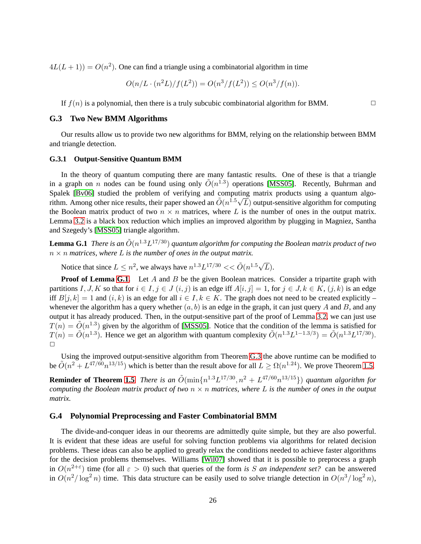$4L(L+1) = O(n^2)$ . One can find a triangle using a combinatorial algorithm in time

$$
O(n/L \cdot (n^2L)/f(L^2)) = O(n^3/f(L^2)) \le O(n^3/f(n)).
$$

If  $f(n)$  is a polynomial, then there is a truly subcubic combinatorial algorithm for BMM.

#### **G.3 Two New BMM Algorithms**

Our results allow us to provide two new algorithms for BMM, relying on the relationship between BMM and triangle detection.

#### **G.3.1 Output-Sensitive Quantum BMM**

In the theory of quantum computing there are many fantastic results. One of these is that a triangle in a graph on n nodes can be found using only  $\tilde{O}(n^{1.3})$  operations [\[MSS05\]](#page-12-8). Recently, Buhrman and Spalek [\[Bv06\]](#page-11-9) studied the problem of verifying and computing matrix products using a quantum algorithm. Among other nice results, their paper showed an  $\tilde{O}(n^{1.5}\sqrt{L})$  output-sensitive algorithm for computing the Boolean matrix product of two  $n \times n$  matrices, where L is the number of ones in the output matrix. Lemma [3.2](#page-6-4) is a black box reduction which implies an improved algorithm by plugging in Magniez, Santha and Szegedy's [\[MSS05\]](#page-12-8) triangle algorithm.

<span id="page-26-0"></span>**Lemma G.1** There is an  $\tilde{O}(n^{1.3}L^{17/30})$  quantum algorithm for computing the Boolean matrix product of two  $n \times n$  *matrices, where* L *is the number of ones in the output matrix.* 

Notice that since  $L \leq n^2$ , we always have  $n^{1.3}L^{17/30} << \tilde{O}(n^{1.5}\sqrt{L}).$ 

**Proof of Lemma [G.1.](#page-26-0)** Let A and B be the given Boolean matrices. Consider a tripartite graph with partitions I, J, K so that for  $i \in I$ ,  $j \in J$   $(i, j)$  is an edge iff  $A[i, j] = 1$ , for  $j \in J$ ,  $k \in K$ ,  $(j, k)$  is an edge iff  $B[j, k] = 1$  and  $(i, k)$  is an edge for all  $i \in I, k \in K$ . The graph does not need to be created explicitly – whenever the algorithm has a query whether  $(a, b)$  is an edge in the graph, it can just query A and B, and any output it has already produced. Then, in the output-sensitive part of the proof of Lemma [3.2,](#page-6-4) we can just use  $T(n) = \tilde{O}(n^{1.3})$  given by the algorithm of [\[MSS05\]](#page-12-8). Notice that the condition of the lemma is satisfied for  $T(n) = \tilde{O}(n^{1.3})$ . Hence we get an algorithm with quantum complexity  $\tilde{O}(n^{1.3}L^{1-1.3/3}) = \tilde{O}(n^{1.3}L^{17/30})$ .  $\Box$ 

Using the improved output-sensitive algorithm from Theorem [G.3](#page-24-0) the above runtime can be modified to be  $\tilde{O}(n^2 + L^{47/60}n^{13/15})$  which is better than the result above for all  $L \ge \Omega(n^{1.24})$ . We prove Theorem [1.5.](#page-3-1)

**Reminder of Theorem [1.5](#page-3-1)** *There is an*  $\tilde{O}(\min\{n^{1.3}L^{17/30}, n^2 + L^{47/60}n^{13/15}\})$  *quantum algorithm for computing the Boolean matrix product of two* n × n *matrices, where* L *is the number of ones in the output matrix.*

#### **G.4 Polynomial Preprocessing and Faster Combinatorial BMM**

The divide-and-conquer ideas in our theorems are admittedly quite simple, but they are also powerful. It is evident that these ideas are useful for solving function problems via algorithms for related decision problems. These ideas can also be applied to greatly relax the conditions needed to achieve faster algorithms for the decision problems themselves. Williams [\[Wil07\]](#page-13-8) showed that it is possible to preprocess a graph in  $O(n^{2+\epsilon})$  time (for all  $\epsilon > 0$ ) such that queries of the form *is* S *an independent set?* can be answered in  $O(n^2/\log^2 n)$  time. This data structure can be easily used to solve triangle detection in  $O(n^3/\log^2 n)$ ,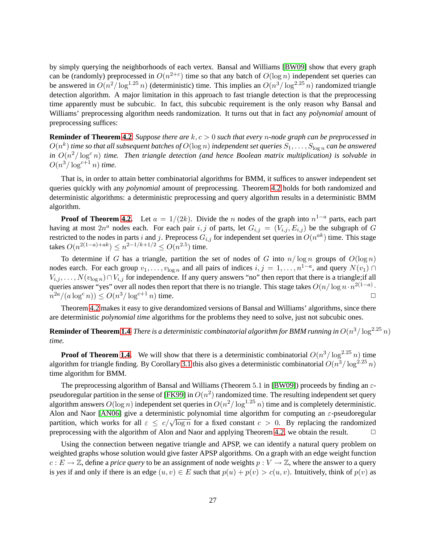by simply querying the neighborhoods of each vertex. Bansal and Williams [\[BW09\]](#page-11-8) show that every graph can be (randomly) preprocessed in  $O(n^{2+\epsilon})$  time so that any batch of  $O(\log n)$  independent set queries can be answered in  $O(n^2/\log^{1.25} n)$  (deterministic) time. This implies an  $O(n^3/\log^{2.25} n)$  randomized triangle detection algorithm. A major limitation in this approach to fast triangle detection is that the preprocessing time apparently must be subcubic. In fact, this subcubic requirement is the only reason why Bansal and Williams' preprocessing algorithm needs randomization. It turns out that in fact any *polynomial* amount of preprocessing suffices:

**Reminder of Theorem [4.2](#page-9-0)** *Suppose there are* k, c > 0 *such that every* n*-node graph can be preprocessed in*  $O(n^k)$  time so that all subsequent batches of  $O(\log n)$  independent set queries  $S_1,\ldots,S_{\log n}$  can be answered in  $O(n^2/\log^c n)$  *time. Then triangle detection (and hence Boolean matrix multiplication) is solvable in*  $O(n^3/\log^{c+1} n)$  time.

That is, in order to attain better combinatorial algorithms for BMM, it suffices to answer independent set queries quickly with any *polynomial* amount of preprocessing. Theorem [4.2](#page-9-0) holds for both randomized and deterministic algorithms: a deterministic preprocessing and query algorithm results in a deterministic BMM algorithm.

**Proof of Theorem [4.2.](#page-9-0)** Let  $a = 1/(2k)$ . Divide the n nodes of the graph into  $n^{1-a}$  parts, each part having at most  $2n^a$  nodes each. For each pair i, j of parts, let  $G_{i,j} = (V_{i,j}, E_{i,j})$  be the subgraph of G restricted to the nodes in parts i and j. Preprocess  $G_{i,j}$  for independent set queries in  $O(n^{ak})$  time. This stage takes  $O(n^{2(1-a)+ak}) \le n^{2-1/k+1/2} \le O(n^{2.5})$  time.

To determine if G has a triangle, partition the set of nodes of G into  $n/\log n$  groups of  $O(\log n)$ nodes earch. For each group  $v_1, \ldots, v_{\log n}$  and all pairs of indices  $i, j = 1, \ldots, n^{1-a}$ , and query  $N(v_1) \cap$  $V_{i,j}, \ldots, N(v_{\log n}) \cap V_{i,j}$  for independence. If any query answers "no" then report that there is a triangle;if all queries answer "yes" over all nodes then report that there is no triangle. This stage takes  $O(n/\log n \cdot n^{2(1-a)})$ .  $n^{2a}/(a\log^c n)) \leq O(n^3/\log^{c+1} n)$  time.

Theorem [4.2](#page-9-0) makes it easy to give derandomized versions of Bansal and Williams' algorithms, since there are deterministic *polynomial time* algorithms for the problems they need to solve, just not subcubic ones.

**Reminder of Theorem [1.4](#page-3-2)** *There is a deterministic combinatorial algorithm for BMM running in*  $O(n^3/\log^{2.25} n)$ *time.*

**Proof of Theorem [1.4.](#page-3-2)** We will show that there is a deterministic combinatorial  $O(n^3/\log^{2.25} n)$  time algorithm for triangle finding. By Corollary [3.1](#page-8-1) this also gives a deterministic combinatorial  $O(n^3/\log^{2.25} n)$ time algorithm for BMM.

The preprocessing algorithm of Bansal and Williams (Theorem 5.1 in [\[BW09\]](#page-11-8)) proceeds by finding an  $\varepsilon$ -pseudoregular partition in the sense of [\[FK99\]](#page-11-15) in  $O(n^2)$  randomized time. The resulting independent set query algorithm answers  $O(\log n)$  independent set queries in  $O(n^2/\log^{1.25} n)$  time and is completely deterministic. Alon and Naor [\[AN06\]](#page-10-1) give a deterministic polynomial time algorithm for computing an  $\varepsilon$ -pseudoregular partition, which works for all  $\varepsilon \le c/\sqrt{\log n}$  for a fixed constant  $c > 0$ . By replacing the randomized preprocessing with the algorithm of Alon and Naor and applying Theorem [4.2,](#page-9-0) we obtain the result.  $\Box$ 

Using the connection between negative triangle and APSP, we can identify a natural query problem on weighted graphs whose solution would give faster APSP algorithms. On a graph with an edge weight function  $c: E \to \mathbb{Z}$ , define a *price query* to be an assignment of node weights  $p: V \to \mathbb{Z}$ , where the answer to a query is yes if and only if there is an edge  $(u, v) \in E$  such that  $p(u) + p(v) > c(u, v)$ . Intuitively, think of  $p(v)$  as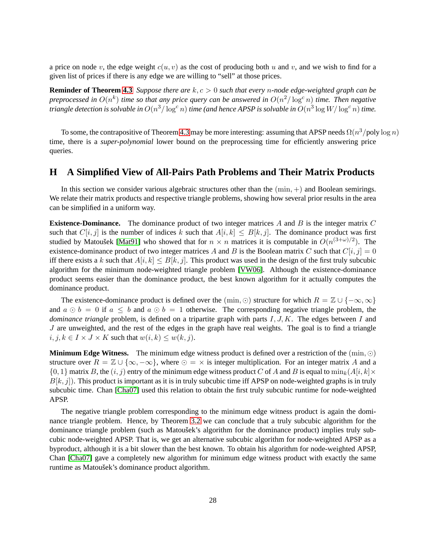a price on node v, the edge weight  $c(u, v)$  as the cost of producing both u and v, and we wish to find for a given list of prices if there is any edge we are willing to "sell" at those prices.

**Reminder of Theorem [4.3](#page-9-1)** *Suppose there are*  $k, c > 0$  *such that every n-node edge-weighted graph can be* preprocessed in  $O(n^k)$  time so that any price query can be answered in  $O(n^2/\log^c n)$  time. Then negative triangle detection is solvable in  $O(n^3/\log^c n)$  time (and hence APSP is solvable in  $O(n^3\log W/\log^c n)$  time.

To some, the contrapositive of Theorem [4.3](#page-9-1) may be more interesting: assuming that APSP needs  $\Omega(n^3/\text{poly}\log n)$ time, there is a *super-polynomial* lower bound on the preprocessing time for efficiently answering price queries.

### <span id="page-28-0"></span>**H A Simplified View of All-Pairs Path Problems and Their Matrix Products**

In this section we consider various algebraic structures other than the  $(\min, +)$  and Boolean semirings. We relate their matrix products and respective triangle problems, showing how several prior results in the area can be simplified in a uniform way.

**Existence-Dominance.** The dominance product of two integer matrices A and B is the integer matrix C such that  $C[i, j]$  is the number of indices k such that  $A[i, k] \leq B[k, j]$ . The dominance product was first studied by Matoušek [\[Mat91\]](#page-12-14) who showed that for  $n \times n$  matrices it is computable in  $O(n^{(3+\omega)/2})$ . The existence-dominance product of two integer matrices A and B is the Boolean matrix C such that  $C[i, j] = 0$ iff there exists a k such that  $A[i, k] \leq B[k, j]$ . This product was used in the design of the first truly subcubic algorithm for the minimum node-weighted triangle problem [\[VW06\]](#page-13-2). Although the existence-dominance product seems easier than the dominance product, the best known algorithm for it actually computes the dominance product.

The existence-dominance product is defined over the (min, ⊙) structure for which  $R = \mathbb{Z} \cup \{-\infty, \infty\}$ and  $a \odot b = 0$  if  $a \leq b$  and  $a \odot b = 1$  otherwise. The corresponding negative triangle problem, the *dominance triangle* problem, is defined on a tripartite graph with parts I, J, K. The edges between I and J are unweighted, and the rest of the edges in the graph have real weights. The goal is to find a triangle  $i, j, k \in I \times J \times K$  such that  $w(i, k) \leq w(k, j)$ .

**Minimum Edge Witness.** The minimum edge witness product is defined over a restriction of the (min, ⊙) structure over  $R = \mathbb{Z} \cup \{\infty, -\infty\}$ , where  $\odot = \times$  is integer multiplication. For an integer matrix A and a  $\{0, 1\}$  matrix B, the  $(i, j)$  entry of the minimum edge witness product C of A and B is equal to  $\min_k(A[i, k] \times$  $B[k, j]$ ). This product is important as it is in truly subcubic time iff APSP on node-weighted graphs is in truly subcubic time. Chan [\[Cha07\]](#page-11-2) used this relation to obtain the first truly subcubic runtime for node-weighted APSP.

The negative triangle problem corresponding to the minimum edge witness product is again the dominance triangle problem. Hence, by Theorem [3.2](#page-6-0) we can conclude that a truly subcubic algorithm for the dominance triangle problem (such as Matoušek's algorithm for the dominance product) implies truly subcubic node-weighted APSP. That is, we get an alternative subcubic algorithm for node-weighted APSP as a byproduct, although it is a bit slower than the best known. To obtain his algorithm for node-weighted APSP, Chan [\[Cha07\]](#page-11-2) gave a completely new algorithm for minimum edge witness product with exactly the same runtime as Matoušek's dominance product algorithm.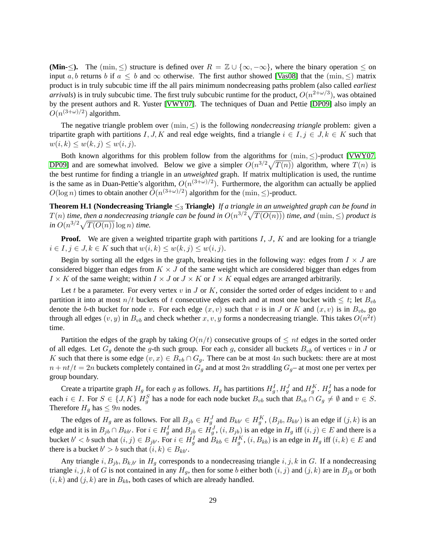**(Min-**≤). The (min, ≤) structure is defined over  $R = \mathbb{Z} \cup \{\infty, -\infty\}$ , where the binary operation  $\leq$  on input a, b returns b if  $a \leq b$  and  $\infty$  otherwise. The first author showed [\[Vas08\]](#page-12-9) that the (min,  $\leq$ ) matrix product is in truly subcubic time iff the all pairs minimum nondecreasing paths problem (also called *earliest arrivals*) is in truly subcubic time. The first truly subcubic runtime for the product,  $O(n^{2+\omega/3})$ , was obtained by the present authors and R. Yuster [\[VWY07\]](#page-13-6). The techniques of Duan and Pettie [\[DP09\]](#page-11-10) also imply an  $O(n^{(3+\omega)/2})$  algorithm.

The negative triangle problem over  $(\min, \leq)$  is the following *nondecreasing triangle* problem: given a tripartite graph with partitions I, J, K and real edge weights, find a triangle  $i \in I, j \in J, k \in K$  such that  $w(i, k) \leq w(k, j) \leq w(i, j).$ 

Both known algorithms for this problem follow from the algorithms for  $(\min, <)$ -product  $[VWY07,$ [DP09\]](#page-11-10) and are somewhat involved. Below we give a simpler  $O(n^{3/2}\sqrt{T(n)})$  algorithm, where  $T(n)$  is the best runtime for finding a triangle in an *unweighted* graph. If matrix multiplication is used, the runtime is the same as in Duan-Pettie's algorithm,  $O(n^{(3+\omega)/2})$ . Furthermore, the algorithm can actually be applied  $O(\log n)$  times to obtain another  $\tilde{O}(n^{(3+\omega)/2})$  algorithm for the  $(\min, \le)$ -product.

<span id="page-29-0"></span>**Theorem H.1 (Nondecreasing Triangle** ≤<sup>3</sup> **Triangle)** *If a triangle in an unweighted graph can be found in*  $T(n)$  *time, then a nondecreasing triangle can be found in*  $O(n^{3/2}\sqrt{T(O(n))})$  *time, and*  $(\min, \leq)$  *product is*  $\sin O(n^{3/2}\sqrt{T(O(n))}\log n)$  *time.* 

**Proof.** We are given a weighted tripartite graph with partitions I, J, K and are looking for a triangle  $i \in I, j \in J, k \in K$  such that  $w(i,k) \leq w(k,j) \leq w(i,j)$ .

Begin by sorting all the edges in the graph, breaking ties in the following way: edges from  $I \times J$  are considered bigger than edges from  $K \times J$  of the same weight which are considered bigger than edges from  $I \times K$  of the same weight; within  $I \times J$  or  $J \times K$  or  $I \times K$  equal edges are arranged arbitrarily.

Let t be a parameter. For every vertex  $v$  in J or K, consider the sorted order of edges incident to  $v$  and partition it into at most  $n/t$  buckets of t consecutive edges each and at most one bucket with  $\leq t$ ; let  $B_{vb}$ denote the b-th bucket for node v. For each edge  $(x, v)$  such that v is in J or K and  $(x, v)$  is in  $B_{vb}$ , go through all edges  $(v, y)$  in  $B_{vb}$  and check whether  $x, v, y$  forms a nondecreasing triangle. This takes  $O(n^2t)$ time.

Partition the edges of the graph by taking  $O(n/t)$  consecutive groups of  $\leq nt$  edges in the sorted order of all edges. Let  $G_q$  denote the g-th such group. For each g, consider all buckets  $B_{vb}$  of vertices v in J or K such that there is some edge  $(v, x) \in B_{vb} \cap G_g$ . There can be at most 4n such buckets: there are at most  $n + nt/t = 2n$  buckets completely contained in  $G<sub>q</sub>$  and at most 2n straddling  $G<sub>q</sub>$  at most one per vertex per group boundary.

Create a tripartite graph  $H_g$  for each g as follows.  $H_g$  has partitions  $H_g^I$ ,  $H_g^J$  and  $H_g^K$ .  $H_g^I$  has a node for each  $i \in I$ . For  $S \in \{J, K\}$   $H_g^S$  has a node for each node bucket  $B_{vb}$  such that  $B_{vb} \cap G_g \neq \emptyset$  and  $v \in S$ . Therefore  $H<sub>q</sub>$  has  $\leq 9n$  nodes.

The edges of  $H_g$  are as follows. For all  $B_{jb} \in H_g^J$  and  $B_{kb'} \in H_g^K$ ,  $(B_{jb}, B_{kb'})$  is an edge if  $(j, k)$  is an edge and it is in  $B_{jb} \cap B_{kb'}$ . For  $i \in H_g^I$  and  $B_{jb} \in H_g^J$ ,  $(i, B_{jb})$  is an edge in  $H_g$  iff  $(i, j) \in E$  and there is a bucket  $b' < b$  such that  $(i, j) \in B_{jb'}$ . For  $i \in H_g^I$  and  $B_{kb} \in H_g^K$ ,  $(i, B_{kb})$  is an edge in  $H_g$  iff  $(i, k) \in E$  and there is a bucket  $b' > b$  such that  $(i, k) \in B_{kb'}$ .

Any triangle i,  $B_{jb}$ ,  $B_{k,b'}$  in  $H_q$  corresponds to a nondecreasing triangle i, j, k in G. If a nondecreasing triangle i, j, k of G is not contained in any  $H_g$ , then for some b either both  $(i, j)$  and  $(j, k)$  are in  $B_{jb}$  or both  $(i, k)$  and  $(j, k)$  are in  $B_{kb}$ , both cases of which are already handled.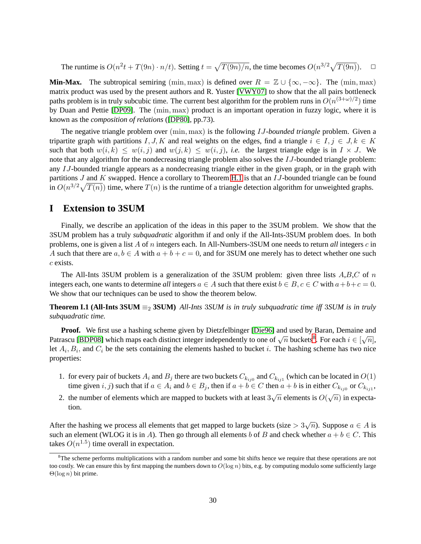The runtime is  $O(n^2t + T(9n) \cdot n/t)$ . Setting  $t = \sqrt{T(9n)/n}$ , the time becomes  $O(n^{3/2}\sqrt{T(9n)})$ .  $\Box$ 

**Min-Max.** The subtropical semiring (min, max) is defined over  $R = \mathbb{Z} \cup \{\infty, -\infty\}$ . The (min, max) matrix product was used by the present authors and R. Yuster [\[VWY07\]](#page-13-6) to show that the all pairs bottleneck paths problem is in truly subcubic time. The current best algorithm for the problem runs in  $O(n^{(3+\omega)/2})$  time by Duan and Pettie [\[DP09\]](#page-11-10). The (min, max) product is an important operation in fuzzy logic, where it is known as the *composition of relations* ([\[DP80\]](#page-11-16), pp.73).

The negative triangle problem over (min, max) is the following IJ*-bounded triangle* problem. Given a tripartite graph with partitions I, J, K and real weights on the edges, find a triangle  $i \in I$ ,  $j \in J$ ,  $k \in K$ such that both  $w(i, k) \leq w(i, j)$  and  $w(j, k) \leq w(i, j)$ , *i.e.* the largest triangle edge is in  $I \times J$ . We note that any algorithm for the nondecreasing triangle problem also solves the IJ-bounded triangle problem: any IJ-bounded triangle appears as a nondecreasing triangle either in the given graph, or in the graph with partitions  $J$  and  $K$  swapped. Hence a corollary to Theorem [H.1](#page-29-0) is that an  $IJ$ -bounded triangle can be found in  $O(n^{3/2}\sqrt{T(n)})$  time, where  $T(n)$  is the runtime of a triangle detection algorithm for unweighted graphs.

### <span id="page-30-0"></span>**I Extension to 3SUM**

Finally, we describe an application of the ideas in this paper to the 3SUM problem. We show that the 3SUM problem has a truly *subquadratic* algorithm if and only if the All-Ints-3SUM problem does. In both problems, one is given a list A of n integers each. In All-Numbers-3SUM one needs to return *all* integers c in A such that there are  $a, b \in A$  with  $a + b + c = 0$ , and for 3SUM one merely has to detect whether one such c exists.

The All-Ints 3SUM problem is a generalization of the 3SUM problem: given three lists  $A, B, C$  of n integers each, one wants to determine *all* integers  $a \in A$  such that there exist  $b \in B$ ,  $c \in C$  with  $a+b+c=0$ . We show that our techniques can be used to show the theorem below.

**Theorem I.1 (All-Ints 3SUM**  $\equiv_2$  **3SUM**) *All-Ints* 3*SUM is in truly subquadratic time iff* 3*SUM is in truly subquadratic time.*

**Proof.** We first use a hashing scheme given by Dietzfelbinger [\[Die96\]](#page-11-17) and used by Baran, Demaine and Patrascu [\[BDP08\]](#page-10-4) which maps each distinct integer independently to one of  $\sqrt{n}$  buckets<sup>[8](#page-30-1)</sup>. For each  $i \in [\sqrt{n}]$ , let  $A_i, B_i$ , and  $C_i$  be the sets containing the elements hashed to bucket i. The hashing scheme has two nice properties:

- 1. for every pair of buckets  $A_i$  and  $B_j$  there are two buckets  $C_{k_{ij0}}$  and  $C_{k_{ij1}}$  (which can be located in  $O(1)$ time given  $i, j$ ) such that if  $a \in A_i$  and  $b \in B_j$ , then if  $a + b \in C$  then  $a + b$  is in either  $C_{k_{ij0}}$  or  $C_{k_{ij1}}$ ,
- 2. the number of elements which are mapped to buckets with at least  $3\sqrt{n}$  elements is  $O(\sqrt{n})$  in expectation.

After the hashing we process all elements that get mapped to large buckets (size  $> 3\sqrt{n}$ ). Suppose  $a \in A$  is such an element (WLOG it is in A). Then go through all elements b of B and check whether  $a + b \in C$ . This takes  $O(n^{1.5})$  time overall in expectation.

<span id="page-30-1"></span><sup>&</sup>lt;sup>8</sup>The scheme performs multiplications with a random number and some bit shifts hence we require that these operations are not too costly. We can ensure this by first mapping the numbers down to  $O(\log n)$  bits, e.g. by computing modulo some sufficiently large  $\Theta(\log n)$  bit prime.